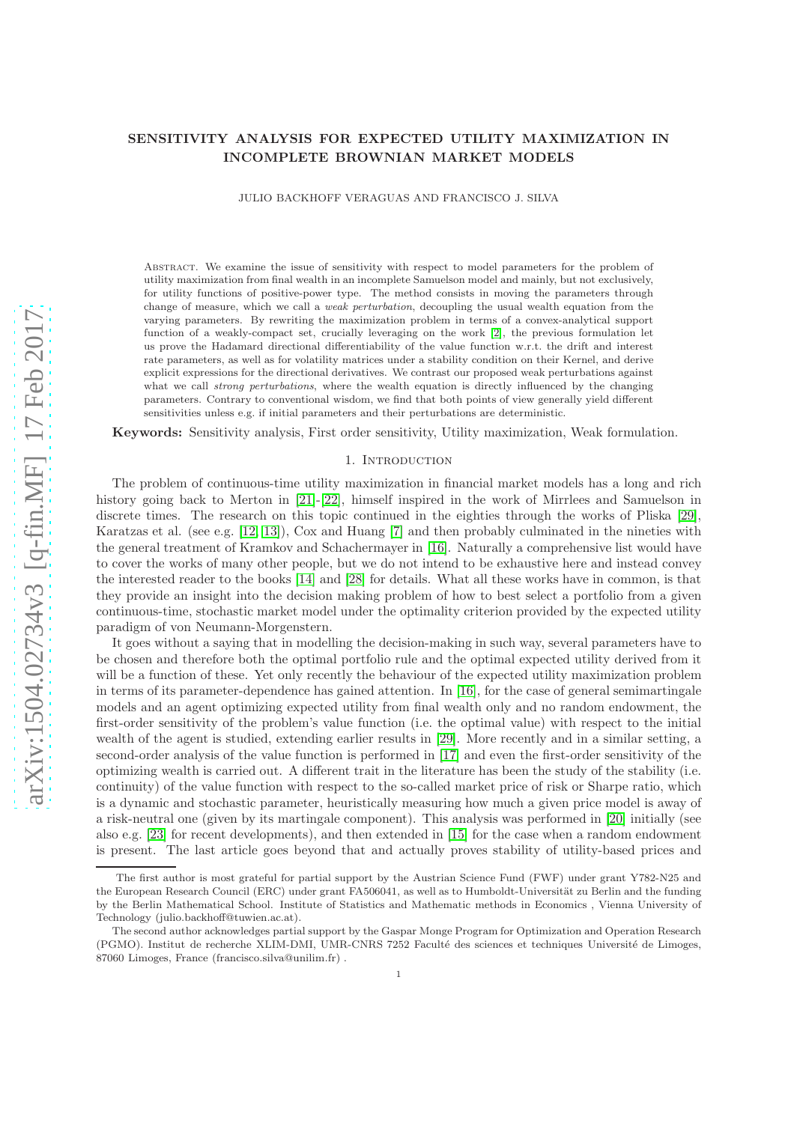# SENSITIVITY ANALYSIS FOR EXPECTED UTILITY MAXIMIZATION IN INCOMPLETE BROWNIAN MARKET MODELS

JULIO BACKHOFF VERAGUAS AND FRANCISCO J. SILVA

Abstract. We examine the issue of sensitivity with respect to model parameters for the problem of utility maximization from final wealth in an incomplete Samuelson model and mainly, but not exclusively, for utility functions of positive-power type. The method consists in moving the parameters through change of measure, which we call a weak perturbation, decoupling the usual wealth equation from the varying parameters. By rewriting the maximization problem in terms of a convex-analytical support function of a weakly-compact set, crucially leveraging on the work [\[2\]](#page-16-0), the previous formulation let us prove the Hadamard directional differentiability of the value function w.r.t. the drift and interest rate parameters, as well as for volatility matrices under a stability condition on their Kernel, and derive explicit expressions for the directional derivatives. We contrast our proposed weak perturbations against what we call *strong perturbations*, where the wealth equation is directly influenced by the changing parameters. Contrary to conventional wisdom, we find that both points of view generally yield different sensitivities unless e.g. if initial parameters and their perturbations are deterministic.

Keywords: Sensitivity analysis, First order sensitivity, Utility maximization, Weak formulation.

## 1. INTRODUCTION

The problem of continuous-time utility maximization in financial market models has a long and rich history going back to Merton in [\[21\]](#page-16-1)-[\[22\]](#page-16-2), himself inspired in the work of Mirrlees and Samuelson in discrete times. The research on this topic continued in the eighties through the works of Pliska [\[29\]](#page-16-3), Karatzas et al. (see e.g. [\[12,](#page-16-4) [13\]](#page-16-5)), Cox and Huang [\[7\]](#page-16-6) and then probably culminated in the nineties with the general treatment of Kramkov and Schachermayer in [\[16\]](#page-16-7). Naturally a comprehensive list would have to cover the works of many other people, but we do not intend to be exhaustive here and instead convey the interested reader to the books [\[14\]](#page-16-8) and [\[28\]](#page-16-9) for details. What all these works have in common, is that they provide an insight into the decision making problem of how to best select a portfolio from a given continuous-time, stochastic market model under the optimality criterion provided by the expected utility paradigm of von Neumann-Morgenstern.

It goes without a saying that in modelling the decision-making in such way, several parameters have to be chosen and therefore both the optimal portfolio rule and the optimal expected utility derived from it will be a function of these. Yet only recently the behaviour of the expected utility maximization problem in terms of its parameter-dependence has gained attention. In [\[16\]](#page-16-7), for the case of general semimartingale models and an agent optimizing expected utility from final wealth only and no random endowment, the first-order sensitivity of the problem's value function (i.e. the optimal value) with respect to the initial wealth of the agent is studied, extending earlier results in [\[29\]](#page-16-3). More recently and in a similar setting, a second-order analysis of the value function is performed in [\[17\]](#page-16-10) and even the first-order sensitivity of the optimizing wealth is carried out. A different trait in the literature has been the study of the stability (i.e. continuity) of the value function with respect to the so-called market price of risk or Sharpe ratio, which is a dynamic and stochastic parameter, heuristically measuring how much a given price model is away of a risk-neutral one (given by its martingale component). This analysis was performed in [\[20\]](#page-16-11) initially (see also e.g. [\[23\]](#page-16-12) for recent developments), and then extended in [\[15\]](#page-16-13) for the case when a random endowment is present. The last article goes beyond that and actually proves stability of utility-based prices and

The first author is most grateful for partial support by the Austrian Science Fund (FWF) under grant Y782-N25 and the European Research Council (ERC) under grant FA506041, as well as to Humboldt-Universität zu Berlin and the funding by the Berlin Mathematical School. Institute of Statistics and Mathematic methods in Economics , Vienna University of Technology (julio.backhoff@tuwien.ac.at).

The second author acknowledges partial support by the Gaspar Monge Program for Optimization and Operation Research (PGMO). Institut de recherche XLIM-DMI, UMR-CNRS 7252 Faculté des sciences et techniques Université de Limoges, 87060 Limoges, France (francisco.silva@unilim.fr) .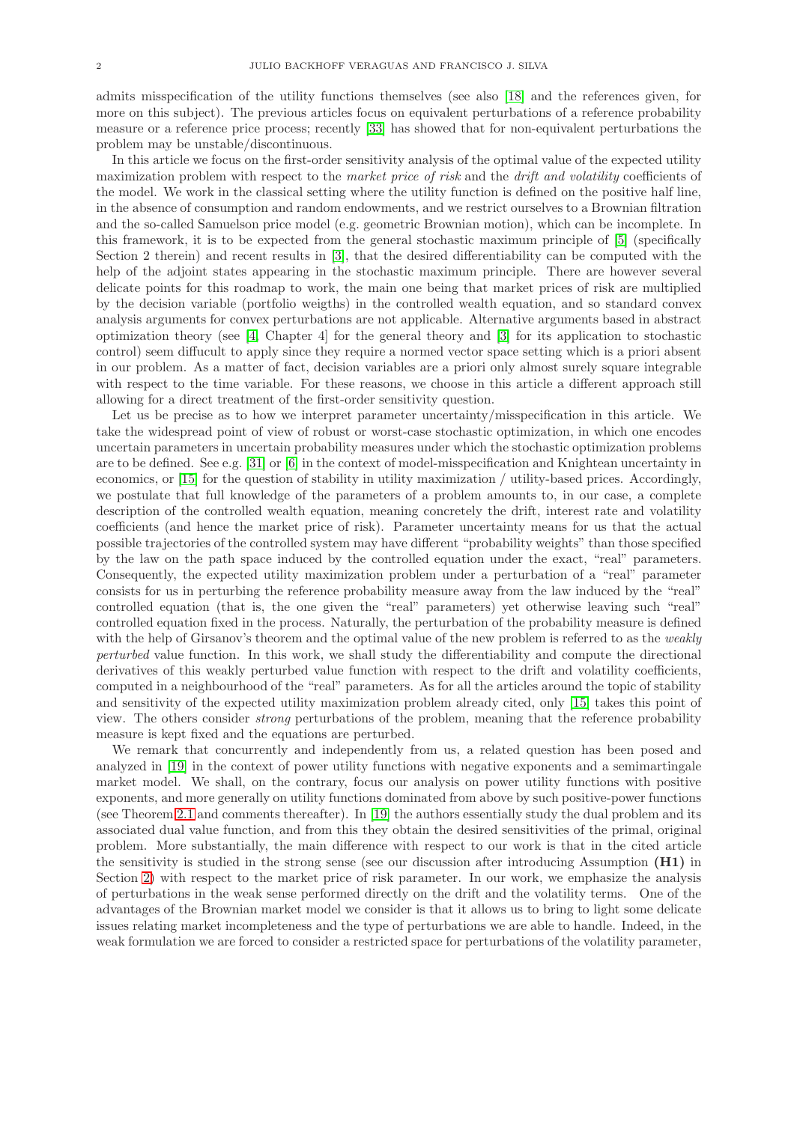admits misspecification of the utility functions themselves (see also [\[18\]](#page-16-14) and the references given, for more on this subject). The previous articles focus on equivalent perturbations of a reference probability measure or a reference price process; recently [\[33\]](#page-16-15) has showed that for non-equivalent perturbations the problem may be unstable/discontinuous.

In this article we focus on the first-order sensitivity analysis of the optimal value of the expected utility maximization problem with respect to the market price of risk and the drift and volatility coefficients of the model. We work in the classical setting where the utility function is defined on the positive half line, in the absence of consumption and random endowments, and we restrict ourselves to a Brownian filtration and the so-called Samuelson price model (e.g. geometric Brownian motion), which can be incomplete. In this framework, it is to be expected from the general stochastic maximum principle of [\[5\]](#page-16-16) (specifically Section 2 therein) and recent results in [\[3\]](#page-16-17), that the desired differentiability can be computed with the help of the adjoint states appearing in the stochastic maximum principle. There are however several delicate points for this roadmap to work, the main one being that market prices of risk are multiplied by the decision variable (portfolio weigths) in the controlled wealth equation, and so standard convex analysis arguments for convex perturbations are not applicable. Alternative arguments based in abstract optimization theory (see [\[4,](#page-16-18) Chapter 4] for the general theory and [\[3\]](#page-16-17) for its application to stochastic control) seem diffucult to apply since they require a normed vector space setting which is a priori absent in our problem. As a matter of fact, decision variables are a priori only almost surely square integrable with respect to the time variable. For these reasons, we choose in this article a different approach still allowing for a direct treatment of the first-order sensitivity question.

Let us be precise as to how we interpret parameter uncertainty/misspecification in this article. We take the widespread point of view of robust or worst-case stochastic optimization, in which one encodes uncertain parameters in uncertain probability measures under which the stochastic optimization problems are to be defined. See e.g. [\[31\]](#page-16-19) or [\[6\]](#page-16-20) in the context of model-misspecification and Knightean uncertainty in economics, or [\[15\]](#page-16-13) for the question of stability in utility maximization / utility-based prices. Accordingly, we postulate that full knowledge of the parameters of a problem amounts to, in our case, a complete description of the controlled wealth equation, meaning concretely the drift, interest rate and volatility coefficients (and hence the market price of risk). Parameter uncertainty means for us that the actual possible trajectories of the controlled system may have different "probability weights" than those specified by the law on the path space induced by the controlled equation under the exact, "real" parameters. Consequently, the expected utility maximization problem under a perturbation of a "real" parameter consists for us in perturbing the reference probability measure away from the law induced by the "real" controlled equation (that is, the one given the "real" parameters) yet otherwise leaving such "real" controlled equation fixed in the process. Naturally, the perturbation of the probability measure is defined with the help of Girsanov's theorem and the optimal value of the new problem is referred to as the *weakly* perturbed value function. In this work, we shall study the differentiability and compute the directional derivatives of this weakly perturbed value function with respect to the drift and volatility coefficients, computed in a neighbourhood of the "real" parameters. As for all the articles around the topic of stability and sensitivity of the expected utility maximization problem already cited, only [\[15\]](#page-16-13) takes this point of view. The others consider strong perturbations of the problem, meaning that the reference probability measure is kept fixed and the equations are perturbed.

We remark that concurrently and independently from us, a related question has been posed and analyzed in [\[19\]](#page-16-21) in the context of power utility functions with negative exponents and a semimartingale market model. We shall, on the contrary, focus our analysis on power utility functions with positive exponents, and more generally on utility functions dominated from above by such positive-power functions (see Theorem [2.1](#page-6-0) and comments thereafter). In [\[19\]](#page-16-21) the authors essentially study the dual problem and its associated dual value function, and from this they obtain the desired sensitivities of the primal, original problem. More substantially, the main difference with respect to our work is that in the cited article the sensitivity is studied in the strong sense (see our discussion after introducing Assumption (H1) in Section [2\)](#page-2-0) with respect to the market price of risk parameter. In our work, we emphasize the analysis of perturbations in the weak sense performed directly on the drift and the volatility terms. One of the advantages of the Brownian market model we consider is that it allows us to bring to light some delicate issues relating market incompleteness and the type of perturbations we are able to handle. Indeed, in the weak formulation we are forced to consider a restricted space for perturbations of the volatility parameter,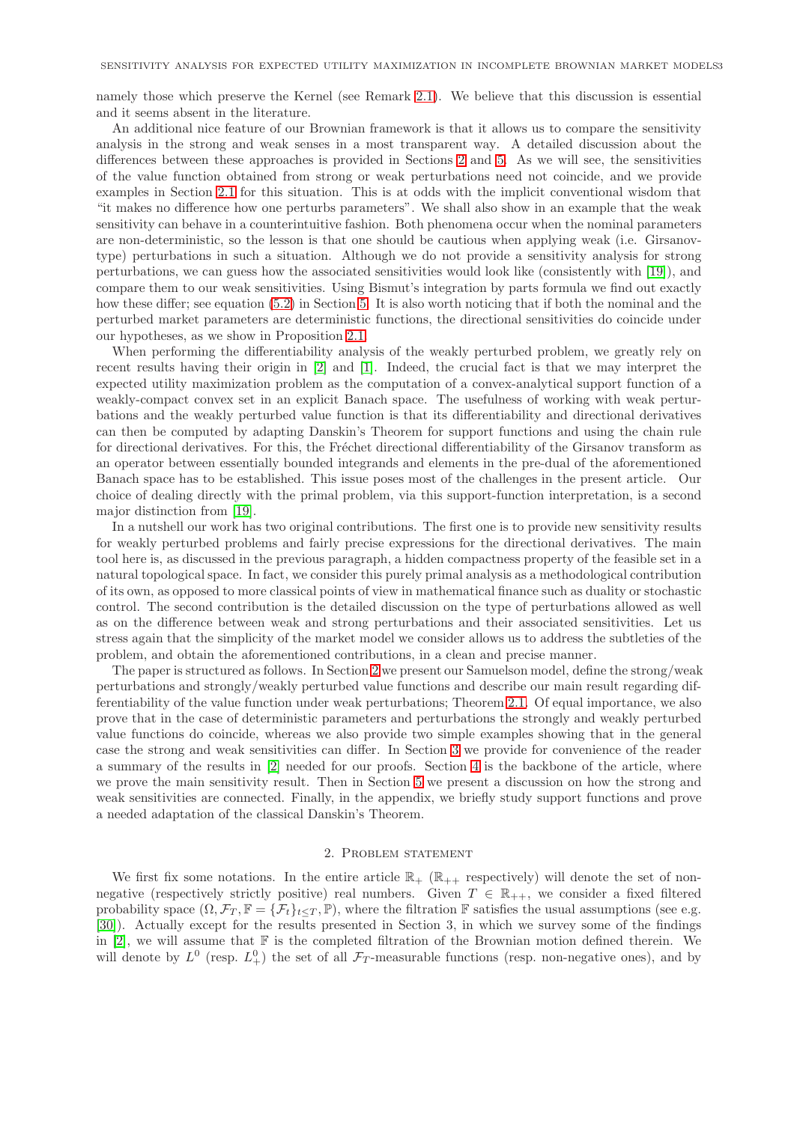namely those which preserve the Kernel (see Remark [2.1\)](#page-4-0). We believe that this discussion is essential and it seems absent in the literature.

An additional nice feature of our Brownian framework is that it allows us to compare the sensitivity analysis in the strong and weak senses in a most transparent way. A detailed discussion about the differences between these approaches is provided in Sections [2](#page-2-0) and [5.](#page-14-0) As we will see, the sensitivities of the value function obtained from strong or weak perturbations need not coincide, and we provide examples in Section [2.1](#page-6-1) for this situation. This is at odds with the implicit conventional wisdom that "it makes no difference how one perturbs parameters". We shall also show in an example that the weak sensitivity can behave in a counterintuitive fashion. Both phenomena occur when the nominal parameters are non-deterministic, so the lesson is that one should be cautious when applying weak (i.e. Girsanovtype) perturbations in such a situation. Although we do not provide a sensitivity analysis for strong perturbations, we can guess how the associated sensitivities would look like (consistently with [\[19\]](#page-16-21)), and compare them to our weak sensitivities. Using Bismut's integration by parts formula we find out exactly how these differ; see equation  $(5.2)$  in Section [5.](#page-14-0) It is also worth noticing that if both the nominal and the perturbed market parameters are deterministic functions, the directional sensitivities do coincide under our hypotheses, as we show in Proposition [2.1.](#page-5-0)

When performing the differentiability analysis of the weakly perturbed problem, we greatly rely on recent results having their origin in [\[2\]](#page-16-0) and [\[1\]](#page-16-22). Indeed, the crucial fact is that we may interpret the expected utility maximization problem as the computation of a convex-analytical support function of a weakly-compact convex set in an explicit Banach space. The usefulness of working with weak perturbations and the weakly perturbed value function is that its differentiability and directional derivatives can then be computed by adapting Danskin's Theorem for support functions and using the chain rule for directional derivatives. For this, the Fréchet directional differentiability of the Girsanov transform as an operator between essentially bounded integrands and elements in the pre-dual of the aforementioned Banach space has to be established. This issue poses most of the challenges in the present article. Our choice of dealing directly with the primal problem, via this support-function interpretation, is a second major distinction from [\[19\]](#page-16-21).

In a nutshell our work has two original contributions. The first one is to provide new sensitivity results for weakly perturbed problems and fairly precise expressions for the directional derivatives. The main tool here is, as discussed in the previous paragraph, a hidden compactness property of the feasible set in a natural topological space. In fact, we consider this purely primal analysis as a methodological contribution of its own, as opposed to more classical points of view in mathematical finance such as duality or stochastic control. The second contribution is the detailed discussion on the type of perturbations allowed as well as on the difference between weak and strong perturbations and their associated sensitivities. Let us stress again that the simplicity of the market model we consider allows us to address the subtleties of the problem, and obtain the aforementioned contributions, in a clean and precise manner.

The paper is structured as follows. In Section [2](#page-2-0) we present our Samuelson model, define the strong/weak perturbations and strongly/weakly perturbed value functions and describe our main result regarding differentiability of the value function under weak perturbations; Theorem [2.1.](#page-6-0) Of equal importance, we also prove that in the case of deterministic parameters and perturbations the strongly and weakly perturbed value functions do coincide, whereas we also provide two simple examples showing that in the general case the strong and weak sensitivities can differ. In Section [3](#page-7-0) we provide for convenience of the reader a summary of the results in [\[2\]](#page-16-0) needed for our proofs. Section [4](#page-9-0) is the backbone of the article, where we prove the main sensitivity result. Then in Section [5](#page-14-0) we present a discussion on how the strong and weak sensitivities are connected. Finally, in the appendix, we briefly study support functions and prove a needed adaptation of the classical Danskin's Theorem.

# 2. Problem statement

<span id="page-2-0"></span>We first fix some notations. In the entire article  $\mathbb{R}_+$   $(\mathbb{R}_{++}$  respectively) will denote the set of nonnegative (respectively strictly positive) real numbers. Given  $T \in \mathbb{R}_{++}$ , we consider a fixed filtered probability space  $(\Omega, \mathcal{F}_T, \mathbb{F} = {\{\mathcal{F}_t\}_{t\leq T}, \mathbb{P}})$ , where the filtration  $\mathbb{F}$  satisfies the usual assumptions (see e.g. [\[30\]](#page-16-23)). Actually except for the results presented in Section 3, in which we survey some of the findings in [\[2\]](#page-16-0), we will assume that  $\mathbb F$  is the completed filtration of the Brownian motion defined therein. We will denote by  $L^0$  (resp.  $L^0_+$ ) the set of all  $\mathcal{F}_T$ -measurable functions (resp. non-negative ones), and by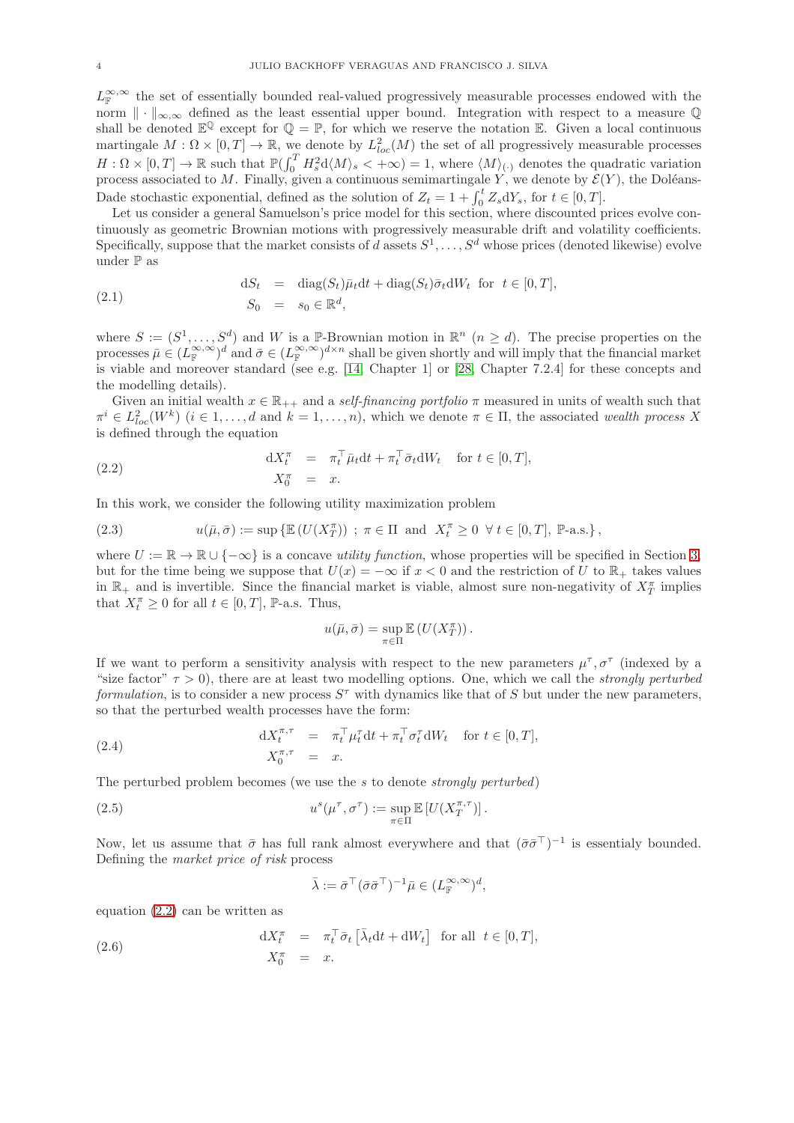$L_{\mathbb{F}}^{\infty,\infty}$  the set of essentially bounded real-valued progressively measurable processes endowed with the norm  $\|\cdot\|_{\infty,\infty}$  defined as the least essential upper bound. Integration with respect to a measure Q shall be denoted  $\mathbb{E}^{\mathbb{Q}}$  except for  $\mathbb{Q} = \mathbb{P}$ , for which we reserve the notation  $\mathbb{E}$ . Given a local continuous martingale  $M: \Omega \times [0,T] \to \mathbb{R}$ , we denote by  $L^2_{loc}(M)$  the set of all progressively measurable processes  $H: \Omega \times [0,T] \to \mathbb{R}$  such that  $\mathbb{P}(\int_0^T H_s^2 d\langle M \rangle_s < +\infty) = 1$ , where  $\langle M \rangle_{(\cdot)}$  denotes the quadratic variation process associated to M. Finally, given a continuous semimartingale Y, we denote by  $\mathcal{E}(Y)$ , the Doléans-Dade stochastic exponential, defined as the solution of  $Z_t = 1 + \int_0^t Z_s dY_s$ , for  $t \in [0, T]$ .

Let us consider a general Samuelson's price model for this section, where discounted prices evolve continuously as geometric Brownian motions with progressively measurable drift and volatility coefficients. Specifically, suppose that the market consists of d assets  $S^1, \ldots, S^d$  whose prices (denoted likewise) evolve under P as

(2.1) 
$$
dS_t = \text{diag}(S_t)\bar{\mu}_t dt + \text{diag}(S_t)\bar{\sigma}_t dW_t \text{ for } t \in [0, T],
$$

$$
S_0 = s_0 \in \mathbb{R}^d,
$$

where  $S := (S^1, \ldots, S^d)$  and W is a P-Brownian motion in  $\mathbb{R}^n$   $(n \geq d)$ . The precise properties on the processes  $\bar{\mu} \in (L^{\infty,\infty}_{\mathbb{F}})^d$  and  $\bar{\sigma} \in (L^{\infty,\infty}_{\mathbb{F}})^{d \times n}$  shall be given shortly and will imply that the financial market is viable and moreover standard (see e.g. [\[14,](#page-16-8) Chapter 1] or [\[28,](#page-16-9) Chapter 7.2.4] for these concepts and the modelling details).

Given an initial wealth  $x \in \mathbb{R}_{++}$  and a self-financing portfolio  $\pi$  measured in units of wealth such that  $\pi^i \in L^2_{loc}(W^k)$   $(i \in 1, \ldots, d$  and  $k = 1, \ldots, n$ , which we denote  $\pi \in \Pi$ , the associated wealth process X is defined through the equation

<span id="page-3-0"></span>(2.2) 
$$
dX_t^{\pi} = \pi_t^{\top} \bar{\mu}_t dt + \pi_t^{\top} \bar{\sigma}_t dW_t \text{ for } t \in [0, T],
$$

$$
X_0^{\pi} = x.
$$

In this work, we consider the following utility maximization problem

<span id="page-3-1"></span>(2.3) 
$$
u(\bar{\mu}, \bar{\sigma}) := \sup \{ \mathbb{E} (U(X_T^{\pi})) \; ; \; \pi \in \Pi \text{ and } X_t^{\pi} \geq 0 \; \forall t \in [0, T], \; \mathbb{P}\text{-a.s.} \},
$$

where  $U := \mathbb{R} \to \mathbb{R} \cup \{-\infty\}$  is a concave utility function, whose properties will be specified in Section [3,](#page-7-0) but for the time being we suppose that  $U(x) = -\infty$  if  $x < 0$  and the restriction of U to  $\mathbb{R}_+$  takes values in  $\mathbb{R}_+$  and is invertible. Since the financial market is viable, almost sure non-negativity of  $X_T^{\pi}$  implies that  $X_t^{\pi} \geq 0$  for all  $t \in [0, T]$ ,  $\mathbb{P}\text{-a.s.}$  Thus,

$$
u(\bar{\mu}, \bar{\sigma}) = \sup_{\pi \in \Pi} \mathbb{E} (U(X_T^{\pi})) .
$$

If we want to perform a sensitivity analysis with respect to the new parameters  $\mu^{\tau}, \sigma^{\tau}$  (indexed by a "size factor"  $\tau > 0$ ), there are at least two modelling options. One, which we call the *strongly perturbed* formulation, is to consider a new process  $S^{\tau}$  with dynamics like that of S but under the new parameters, so that the perturbed wealth processes have the form:

(2.4) 
$$
dX_t^{\pi,\tau} = \pi_t^{\top} \mu_t^{\tau} dt + \pi_t^{\top} \sigma_t^{\tau} dW_t \text{ for } t \in [0, T],
$$

$$
X_0^{\pi,\tau} = x.
$$

The perturbed problem becomes (we use the s to denote strongly perturbed)

(2.5) 
$$
u^s(\mu^\tau, \sigma^\tau) := \sup_{\pi \in \Pi} \mathbb{E}\left[U(X_T^{\pi,\tau})\right].
$$

Now, let us assume that  $\bar{\sigma}$  has full rank almost everywhere and that  $(\bar{\sigma}\bar{\sigma}^T)^{-1}$  is essentialy bounded. Defining the market price of risk process

$$
\bar{\lambda} := \bar{\sigma}^{\top} (\bar{\sigma} \bar{\sigma}^{\top})^{-1} \bar{\mu} \in (L^{\infty,\infty}_{\mathbb{F}})^d,
$$

equation [\(2.2\)](#page-3-0) can be written as

(2.6) 
$$
dX_t^{\pi} = \pi_t^{\top} \bar{\sigma}_t \left[ \bar{\lambda}_t dt + dW_t \right] \text{ for all } t \in [0, T],
$$

$$
X_0^{\pi} = x.
$$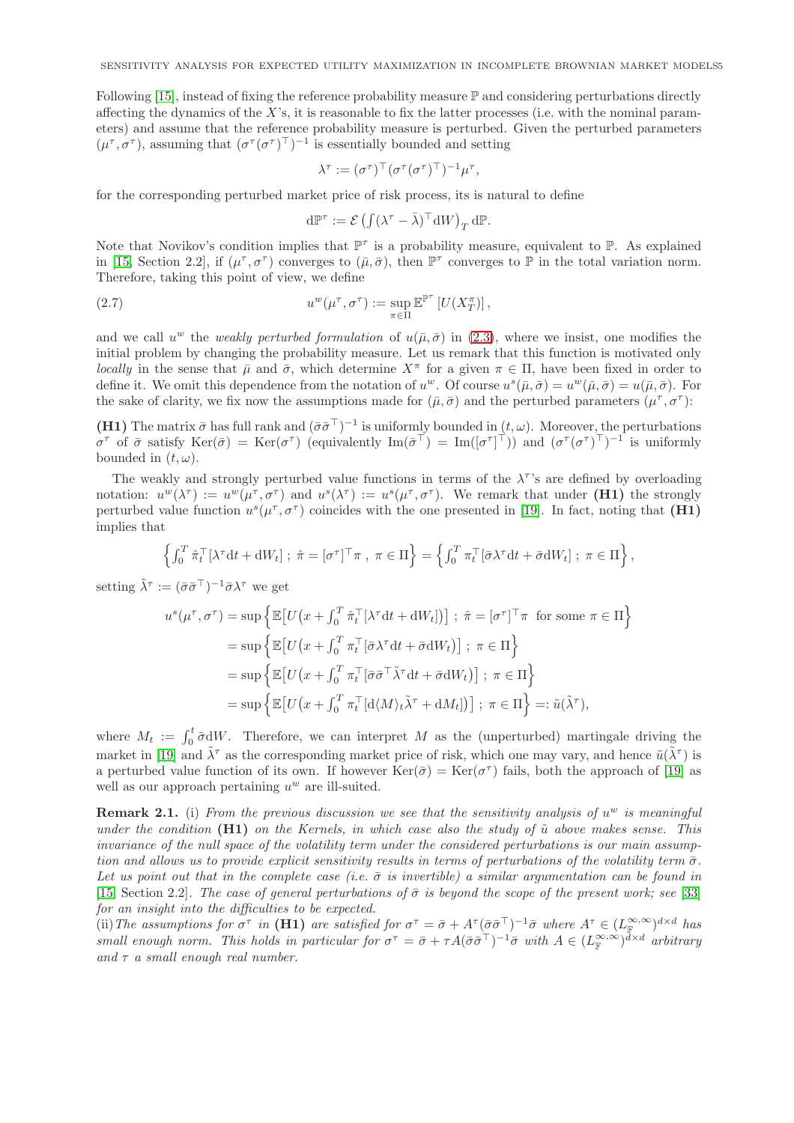Following [\[15\]](#page-16-13), instead of fixing the reference probability measure  $\mathbb P$  and considering perturbations directly affecting the dynamics of the  $X$ 's, it is reasonable to fix the latter processes (i.e. with the nominal parameters) and assume that the reference probability measure is perturbed. Given the perturbed parameters  $(\mu^{\tau}, \sigma^{\tau})$ , assuming that  $(\sigma^{\tau}(\sigma^{\tau})^{\top})^{-1}$  is essentially bounded and setting

$$
\lambda^{\tau} := (\sigma^{\tau})^{\top} (\sigma^{\tau} (\sigma^{\tau})^{\top})^{-1} \mu^{\tau},
$$

for the corresponding perturbed market price of risk process, its is natural to define

$$
\mathrm{d}\mathbb{P}^\tau:=\mathcal{E}\left(\textstyle{\int}(\lambda^\tau-\bar{\lambda})^\top\mathrm{d} W\right)_T\mathrm{d}\mathbb{P}.
$$

Note that Novikov's condition implies that  $\mathbb{P}^{\tau}$  is a probability measure, equivalent to  $\mathbb{P}$ . As explained in [\[15,](#page-16-13) Section 2.2], if  $(\mu^{\tau}, \sigma^{\tau})$  converges to  $(\bar{\mu}, \bar{\sigma})$ , then  $\mathbb{P}^{\tau}$  converges to  $\mathbb{P}$  in the total variation norm. Therefore, taking this point of view, we define

<span id="page-4-1"></span>(2.7) 
$$
u^{w}(\mu^{\tau}, \sigma^{\tau}) := \sup_{\pi \in \Pi} \mathbb{E}^{\mathbb{P}^{\tau}} \left[ U(X_T^{\pi}) \right],
$$

and we call  $u^w$  the *weakly perturbed formulation* of  $u(\bar{\mu}, \bar{\sigma})$  in [\(2.3\)](#page-3-1), where we insist, one modifies the initial problem by changing the probability measure. Let us remark that this function is motivated only *locally* in the sense that  $\bar{\mu}$  and  $\bar{\sigma}$ , which determine  $X^{\pi}$  for a given  $\pi \in \Pi$ , have been fixed in order to define it. We omit this dependence from the notation of  $u^w$ . Of course  $u^s(\bar{\mu}, \bar{\sigma}) = u^w(\bar{\mu}, \bar{\sigma}) = u(\bar{\mu}, \bar{\sigma})$ . For the sake of clarity, we fix now the assumptions made for  $(\bar{\mu}, \bar{\sigma})$  and the perturbed parameters  $(\mu^{\tau}, \sigma^{\tau})$ :

(H1) The matrix  $\bar{\sigma}$  has full rank and  $(\bar{\sigma}\bar{\sigma}^T)^{-1}$  is uniformly bounded in  $(t,\omega)$ . Moreover, the perturbations  $\sigma^{\tau}$  of  $\bar{\sigma}$  satisfy  $\text{Ker}(\bar{\sigma}) = \text{Ker}(\sigma^{\tau})$  (equivalently  $\text{Im}(\bar{\sigma}^{\tau}) = \text{Im}([\sigma^{\tau}]^{\top})$ ) and  $(\sigma^{\tau}(\sigma^{\tau})^{\top})^{-1}$  is uniformly bounded in  $(t, \omega)$ .

The weakly and strongly perturbed value functions in terms of the  $\lambda^{\tau}$ 's are defined by overloading notation:  $u^w(\lambda^{\tau}) := u^w(\mu^{\tau}, \sigma^{\tau})$  and  $u^s(\lambda^{\tau}) := u^s(\mu^{\tau}, \sigma^{\tau})$ . We remark that under (H1) the strongly perturbed value function  $u^s(\mu^{\tau}, \sigma^{\tau})$  coincides with the one presented in [\[19\]](#page-16-21). In fact, noting that (H1) implies that

$$
\left\{\int_0^T \hat{\pi}_t^\top[\lambda^\tau dt + dW_t]; \ \hat{\pi} = [\sigma^\tau]^\top \pi \ , \ \pi \in \Pi\right\} = \left\{\int_0^T \pi_t^\top [\bar{\sigma} \lambda^\tau dt + \bar{\sigma} dW_t]; \ \pi \in \Pi\right\},\
$$

setting  $\tilde{\lambda}^{\tau} := (\bar{\sigma} \bar{\sigma}^{\top})^{-1} \bar{\sigma} \lambda^{\tau}$  we get

$$
u^{s}(\mu^{\tau}, \sigma^{\tau}) = \sup \left\{ \mathbb{E} \left[ U \left( x + \int_{0}^{T} \hat{\pi}_{t}^{\top} [\lambda^{\tau} dt + dW_{t}] \right) \right] ; \ \hat{\pi} = [\sigma^{\tau}]^{\top} \pi \text{ for some } \pi \in \Pi \right\}
$$

$$
= \sup \left\{ \mathbb{E} \left[ U \left( x + \int_{0}^{T} \pi_{t}^{\top} [\bar{\sigma} \lambda^{\tau} dt + \bar{\sigma} dW_{t}] \right) ; \ \pi \in \Pi \right\}
$$

$$
= \sup \left\{ \mathbb{E} \left[ U \left( x + \int_{0}^{T} \pi_{t}^{\top} [\bar{\sigma} \bar{\sigma}^{\top} \tilde{\lambda}^{\tau} dt + \bar{\sigma} dW_{t}] \right) ; \ \pi \in \Pi \right\}
$$

$$
= \sup \left\{ \mathbb{E} \left[ U \left( x + \int_{0}^{T} \pi_{t}^{\top} [d \langle M \rangle_{t} \tilde{\lambda}^{\tau} + dM_{t}] \right) \right] ; \ \pi \in \Pi \right\} =: \tilde{u}(\tilde{\lambda}^{\tau}),
$$

where  $M_t := \int_0^t \bar{\sigma} dW$ . Therefore, we can interpret M as the (unperturbed) martingale driving the market in [\[19\]](#page-16-21) and  $\tilde{\lambda}^{\tau}$  as the corresponding market price of risk, which one may vary, and hence  $\tilde{u}(\tilde{\lambda}^{\tau})$  is a perturbed value function of its own. If however  $\text{Ker}(\bar{\sigma}) = \text{Ker}(\sigma^{\tau})$  fails, both the approach of [\[19\]](#page-16-21) as well as our approach pertaining  $u^w$  are ill-suited.

<span id="page-4-0"></span>**Remark 2.1.** (i) From the previous discussion we see that the sensitivity analysis of  $u^w$  is meaningful under the condition  $(H1)$  on the Kernels, in which case also the study of  $\tilde{u}$  above makes sense. This invariance of the null space of the volatility term under the considered perturbations is our main assumption and allows us to provide explicit sensitivity results in terms of perturbations of the volatility term  $\bar{\sigma}$ . Let us point out that in the complete case (i.e.  $\bar{\sigma}$  is invertible) a similar argumentation can be found in [\[15,](#page-16-13) Section 2.2]. The case of general perturbations of  $\bar{\sigma}$  is beyond the scope of the present work; see [\[33\]](#page-16-15) for an insight into the difficulties to be expected.

(ii) The assumptions for  $\sigma^{\tau}$  in (H1) are satisfied for  $\sigma^{\tau} = \bar{\sigma} + A^{\tau}(\bar{\sigma}\bar{\sigma}^{\tau})^{-1}\bar{\sigma}$  where  $A^{\tau} \in (L^{\infty,\infty}_{\mathbb{F}})^{d \times d}$  has small enough norm. This holds in particular for  $\sigma^{\tau} = \bar{\sigma} + \tau A(\bar{\sigma}\bar{\sigma}^{\top})^{-1}\bar{\sigma}$  with  $A \in (L^{\infty,\infty}_{\mathbb{F}})^{\bar{d} \times d}$  arbitrary and  $\tau$  a small enough real number.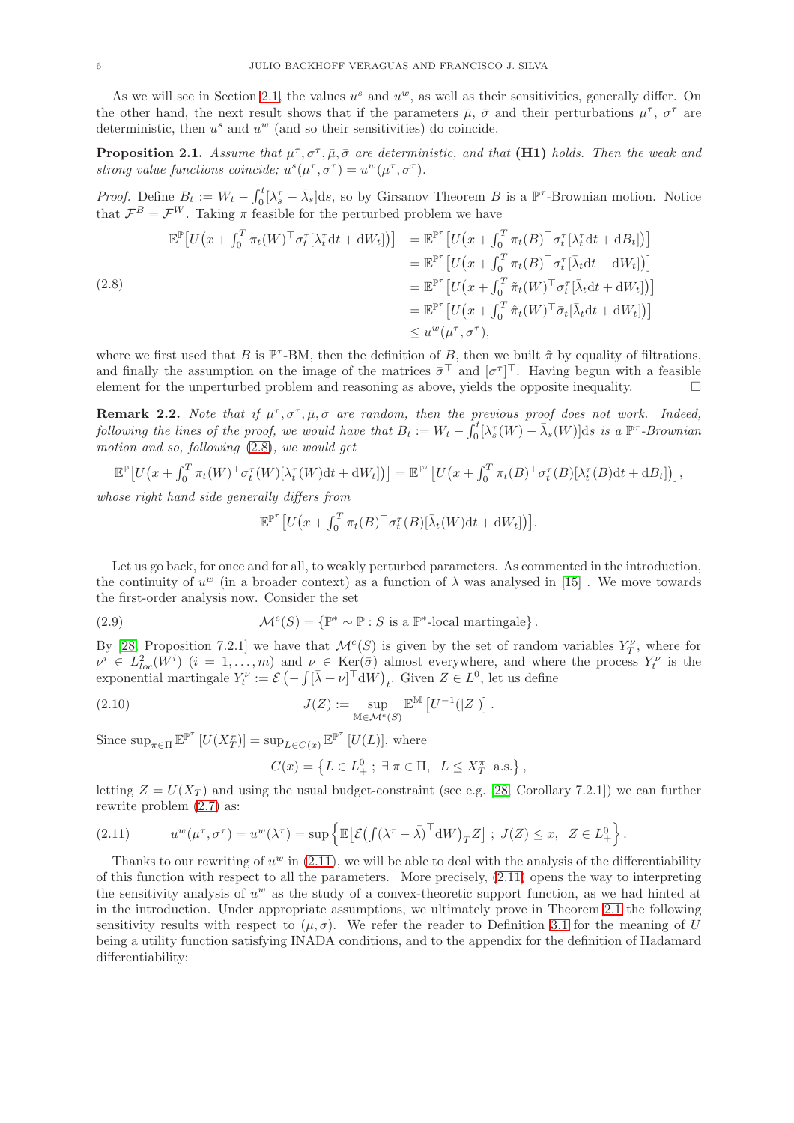As we will see in Section [2.1,](#page-6-1) the values  $u^s$  and  $u^w$ , as well as their sensitivities, generally differ. On the other hand, the next result shows that if the parameters  $\bar{\mu}$ ,  $\bar{\sigma}$  and their perturbations  $\mu^{\tau}$ ,  $\sigma^{\tau}$  are deterministic, then  $u^s$  and  $u^w$  (and so their sensitivities) do coincide.

<span id="page-5-0"></span>**Proposition 2.1.** Assume that  $\mu^{\tau}, \sigma^{\tau}, \bar{\mu}, \bar{\sigma}$  are deterministic, and that (H1) holds. Then the weak and strong value functions coincide;  $u^{s}(\mu^{\tau}, \sigma^{\tau}) = u^{w}(\mu^{\tau}, \sigma^{\tau}).$ 

*Proof.* Define  $B_t := W_t - \int_0^t [\lambda_s^{\tau} - \bar{\lambda}_s] ds$ , so by Girsanov Theorem B is a  $\mathbb{P}^{\tau}$ -Brownian motion. Notice that  $\mathcal{F}^B = \mathcal{F}^W$ . Taking  $\pi$  feasible for the perturbed problem we have

<span id="page-5-1"></span>
$$
\mathbb{E}^{\mathbb{P}}[U(x+\int_{0}^{T} \pi_{t}(W)^{\top}\sigma_{t}^{T}[\lambda_{t}^{T}dt+\mathrm{d}W_{t}])] = \mathbb{E}^{\mathbb{P}^{\tau}}[U(x+\int_{0}^{T} \pi_{t}(B)^{\top}\sigma_{t}^{T}[\lambda_{t}^{T}dt+\mathrm{d}B_{t}])]
$$
\n
$$
= \mathbb{E}^{\mathbb{P}^{\tau}}[U(x+\int_{0}^{T} \pi_{t}(B)^{\top}\sigma_{t}^{T}[\bar{\lambda}_{t}dt+\mathrm{d}W_{t}])]
$$
\n
$$
= \mathbb{E}^{\mathbb{P}^{\tau}}[U(x+\int_{0}^{T} \tilde{\pi}_{t}(W)^{\top}\sigma_{t}^{T}[\bar{\lambda}_{t}dt+\mathrm{d}W_{t}])]
$$
\n
$$
= \mathbb{E}^{\mathbb{P}^{\tau}}[U(x+\int_{0}^{T} \hat{\pi}_{t}(W)^{\top}\bar{\sigma}_{t}[\bar{\lambda}_{t}dt+\mathrm{d}W_{t}])]
$$
\n
$$
\leq u^{w}(\mu^{\tau},\sigma^{\tau}),
$$

where we first used that B is  $\mathbb{P}^{\tau}$ -BM, then the definition of B, then we built  $\tilde{\pi}$  by equality of filtrations, and finally the assumption on the image of the matrices  $\bar{\sigma}^{\top}$  and  $[\sigma^{\tau}]^{\top}$ . Having begun with a feasible element for the unperturbed problem and reasoning as above, yields the opposite inequality.  $\Box$ 

<span id="page-5-5"></span>**Remark 2.2.** Note that if  $\mu^{\tau}, \sigma^{\tau}, \bar{\mu}, \bar{\sigma}$  are random, then the previous proof does not work. Indeed, following the lines of the proof, we would have that  $B_t := W_t - \int_0^t [\lambda_s(\overline{W}) - \overline{\lambda}_s(\overline{W})] ds$  is a  $\mathbb{P}^{\tau}$ -Brownian motion and so, following [\(2.8\)](#page-5-1), we would get

$$
\mathbb{E}^{\mathbb{P}}\big[U\big(x+\int_0^T \pi_t(W)^\top \sigma_t^{\tau}(W)[\lambda_t^{\tau}(W)\mathrm{d}t+\mathrm{d}W_t]\big)\big] = \mathbb{E}^{\mathbb{P}^{\tau}}\big[U\big(x+\int_0^T \pi_t(B)^\top \sigma_t^{\tau}(B)[\lambda_t^{\tau}(B)\mathrm{d}t+\mathrm{d}B_t]\big)\big],
$$

whose right hand side generally differs from

<span id="page-5-3"></span>
$$
\mathbb{E}^{\mathbb{P}^{\tau}}\left[U\left(x+\int_0^T \pi_t(B)^{\top} \sigma_t^{\tau}(B)[\bar{\lambda}_t(W)dt + dW_t]\right)\right].
$$

Let us go back, for once and for all, to weakly perturbed parameters. As commented in the introduction, the continuity of  $u^w$  (in a broader context) as a function of  $\lambda$  was analysed in [\[15\]](#page-16-13). We move towards the first-order analysis now. Consider the set

(2.9) 
$$
\mathcal{M}^e(S) = \{ \mathbb{P}^* \sim \mathbb{P} : S \text{ is a } \mathbb{P}^*\text{-local martingale} \}.
$$

By [\[28,](#page-16-9) Proposition 7.2.1] we have that  $\mathcal{M}^e(S)$  is given by the set of random variables  $Y_T^{\nu}$ , where for  $\nu^i \in L^2_{loc}(W^i)$   $(i = 1, ..., m)$  and  $\nu \in \text{Ker}(\bar{\sigma})$  almost everywhere, and where the process  $Y_t^{\nu}$  is the exponential martingale  $Y_t^{\nu} := \mathcal{E}(-\int [\bar{\lambda} + \nu]^\top dW)_t$ . Given  $Z \in L^0$ , let us define

(2.10) 
$$
J(Z) := \sup_{\mathbb{M} \in \mathcal{M}^e(S)} \mathbb{E}^{\mathbb{M}} \left[ U^{-1}(|Z|) \right].
$$

Since  $\sup_{\pi \in \Pi} \mathbb{E}^{\mathbb{P}^{\tau}} [U(X_T^{\pi})] = \sup_{L \in C(x)} \mathbb{E}^{\mathbb{P}^{\tau}} [U(L)]$ , where

<span id="page-5-4"></span> $C(x) = \{L \in L_+^0; \ \exists \pi \in \Pi, \ L \le X_T^{\pi} \text{ a.s.}\},\$ 

letting  $Z = U(X_T)$  and using the usual budget-constraint (see e.g. [\[28,](#page-16-9) Corollary 7.2.1]) we can further rewrite problem [\(2.7\)](#page-4-1) as:

<span id="page-5-2"></span>(2.11) 
$$
u^w(\mu^\tau, \sigma^\tau) = u^w(\lambda^\tau) = \sup \left\{ \mathbb{E} \left[ \mathcal{E} \left( \int (\lambda^\tau - \bar{\lambda})^\top dW \right)_T Z \right]; \ J(Z) \leq x, \ Z \in L^0_+ \right\}.
$$

Thanks to our rewriting of  $u^w$  in  $(2.11)$ , we will be able to deal with the analysis of the differentiability of this function with respect to all the parameters. More precisely, [\(2.11\)](#page-5-2) opens the way to interpreting the sensitivity analysis of  $u^w$  as the study of a convex-theoretic support function, as we had hinted at in the introduction. Under appropriate assumptions, we ultimately prove in Theorem [2.1](#page-6-0) the following sensitivity results with respect to  $(\mu, \sigma)$ . We refer the reader to Definition [3.1](#page-8-0) for the meaning of U being a utility function satisfying INADA conditions, and to the appendix for the definition of Hadamard differentiability: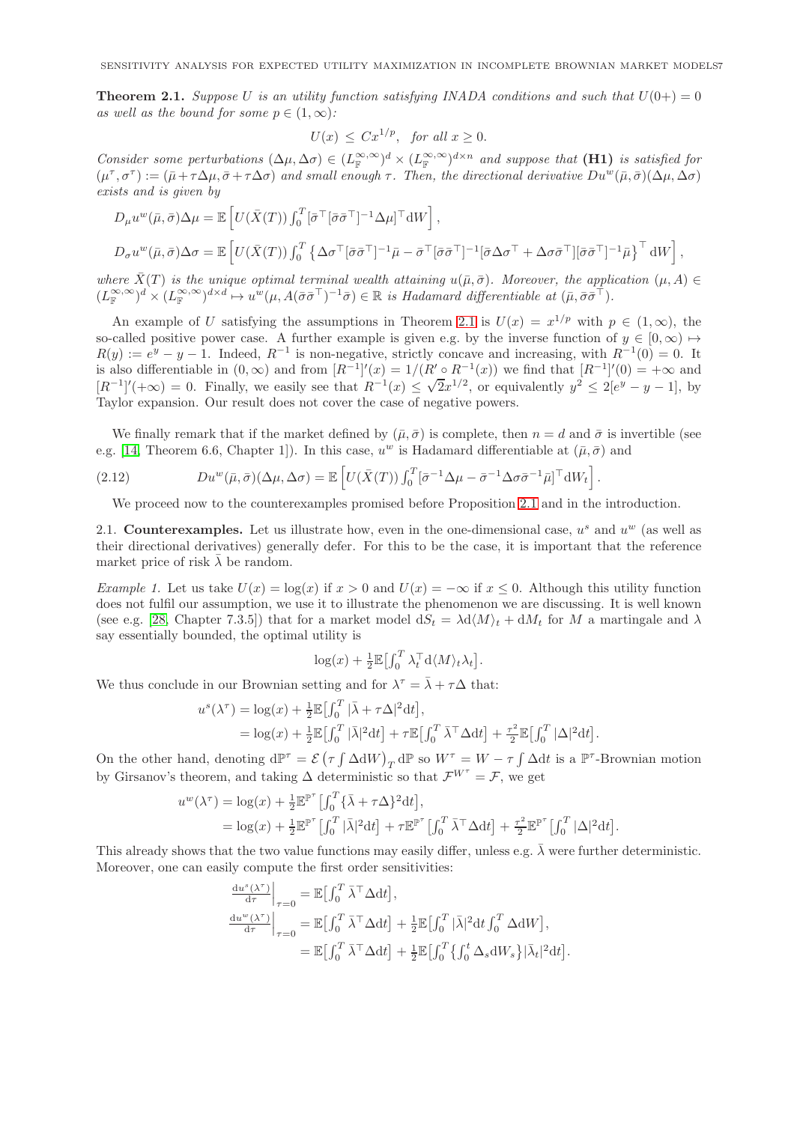<span id="page-6-0"></span>**Theorem 2.1.** Suppose U is an utility function satisfying INADA conditions and such that  $U(0+) = 0$ as well as the bound for some  $p \in (1, \infty)$ :

$$
U(x) \leq C x^{1/p}, \text{ for all } x \geq 0.
$$

Consider some perturbations  $(\Delta \mu, \Delta \sigma) \in (L^{\infty, \infty}_{\mathbb{F}})^d \times (L^{\infty, \infty}_{\mathbb{F}})^{d \times n}$  and suppose that  $(H1)$  is satisfied for  $(\mu^\tau, \sigma^\tau) := (\bar{\mu} + \tau \Delta \mu, \bar{\sigma} + \tau \Delta \sigma)$  and small enough  $\tau$ . Then, the directional derivative  $Du^w(\bar{\mu}, \bar{\sigma})(\Delta \mu, \Delta \sigma)$ exists and is given by

$$
D_{\mu}u^w(\bar{\mu},\bar{\sigma})\Delta\mu = \mathbb{E}\left[U(\bar{X}(T))\int_0^T [\bar{\sigma}^\top[\bar{\sigma}\bar{\sigma}^\top]^{-1}\Delta\mu]^\top dW\right],
$$
  
\n
$$
D_{\sigma}u^w(\bar{\mu},\bar{\sigma})\Delta\sigma = \mathbb{E}\left[U(\bar{X}(T))\int_0^T \left\{\Delta\sigma^\top[\bar{\sigma}\bar{\sigma}^\top]^{-1}\bar{\mu} - \bar{\sigma}^\top[\bar{\sigma}\bar{\sigma}^\top]^{-1}[\bar{\sigma}\Delta\sigma^\top + \Delta\sigma\bar{\sigma}^\top][\bar{\sigma}\bar{\sigma}^\top]^{-1}\bar{\mu}\right\}^\top dW\right],
$$

where  $\bar{X}(T)$  is the unique optimal terminal wealth attaining  $u(\bar{\mu}, \bar{\sigma})$ . Moreover, the application  $(\mu, A) \in$  $(L^{\infty,\infty}_{\mathbb{F}})^d \times (L^{\infty,\infty}_{\mathbb{F}})^{d \times d} \mapsto u^w(\mu, A(\bar{\sigma}\bar{\sigma}^{\top})^{-1}\bar{\sigma}) \in \mathbb{R}$  is Hadamard differentiable at  $(\bar{\mu}, \bar{\sigma}\bar{\sigma}^{\top}).$ 

An example of U satisfying the assumptions in Theorem [2.1](#page-6-0) is  $U(x) = x^{1/p}$  with  $p \in (1,\infty)$ , the so-called positive power case. A further example is given e.g. by the inverse function of  $y \in [0, \infty) \mapsto$  $R(y) := e^y - y - 1$ . Indeed,  $R^{-1}$  is non-negative, strictly concave and increasing, with  $R^{-1}(0) = 0$ . It is also differentiable in  $(0, \infty)$  and from  $[R^{-1}]'(x) = 1/(R' \circ R^{-1}(x))$  we find that  $[R^{-1}]'(0) = +\infty$  and  $[R^{-1}]'(+\infty) = 0$ . Finally, we easily see that  $R^{-1}(x) \leq \sqrt{2}x^{1/2}$ , or equivalently  $y^2 \leq 2[e^y - y - 1]$ , by Taylor expansion. Our result does not cover the case of negative powers.

We finally remark that if the market defined by  $(\bar{\mu}, \bar{\sigma})$  is complete, then  $n = d$  and  $\bar{\sigma}$  is invertible (see e.g. [\[14,](#page-16-8) Theorem 6.6, Chapter 1]). In this case,  $u^w$  is Hadamard differentiable at  $(\bar{\mu}, \bar{\sigma})$  and

.

(2.12) 
$$
Du^{w}(\bar{\mu},\bar{\sigma})(\Delta\mu,\Delta\sigma)=\mathbb{E}\left[U(\bar{X}(T))\int_{0}^{T}[\bar{\sigma}^{-1}\Delta\mu-\bar{\sigma}^{-1}\Delta\sigma\bar{\sigma}^{-1}\bar{\mu}]^{\top}\mathrm{d}W_{t}\right]
$$

We proceed now to the counterexamples promised before Proposition [2.1](#page-5-0) and in the introduction.

<span id="page-6-1"></span>2.1. Counterexamples. Let us illustrate how, even in the one-dimensional case,  $u^s$  and  $u^w$  (as well as their directional derivatives) generally defer. For this to be the case, it is important that the reference market price of risk  $\bar{\lambda}$  be random.

Example 1. Let us take  $U(x) = \log(x)$  if  $x > 0$  and  $U(x) = -\infty$  if  $x < 0$ . Although this utility function does not fulfil our assumption, we use it to illustrate the phenomenon we are discussing. It is well known (see e.g. [\[28,](#page-16-9) Chapter 7.3.5]) that for a market model  $dS_t = \lambda d\langle M \rangle_t + dM_t$  for M a martingale and  $\lambda$ say essentially bounded, the optimal utility is

$$
\log(x) + \frac{1}{2} \mathbb{E} \big[ \int_0^T \lambda_t^\top \mathrm{d} \langle M \rangle_t \lambda_t \big].
$$

We thus conclude in our Brownian setting and for  $\lambda^{\tau} = \bar{\lambda} + \tau \Delta$  that:

$$
u^{s}(\lambda^{\tau}) = \log(x) + \frac{1}{2} \mathbb{E} \left[ \int_0^T |\bar{\lambda} + \tau \Delta|^2 dt \right],
$$
  
=  $\log(x) + \frac{1}{2} \mathbb{E} \left[ \int_0^T |\bar{\lambda}|^2 dt \right] + \tau \mathbb{E} \left[ \int_0^T \bar{\lambda}^{\top} \Delta dt \right] + \frac{\tau^2}{2} \mathbb{E} \left[ \int_0^T |\Delta|^2 dt \right].$ 

On the other hand, denoting  $d\mathbb{P}^{\tau} = \mathcal{E}(\tau \int \Delta dW)_{T} d\mathbb{P}$  so  $W^{\tau} = W - \tau \int \Delta dt$  is a  $\mathbb{P}^{\tau}$ -Brownian motion by Girsanov's theorem, and taking  $\Delta$  deterministic so that  $\mathcal{F}^{W^{\tau}} = \mathcal{F}$ , we get

$$
u^{w}(\lambda^{\tau}) = \log(x) + \frac{1}{2} \mathbb{E}^{\mathbb{P}^{\tau}} \left[ \int_{0}^{T} \{\bar{\lambda} + \tau \Delta\}^{2} dt \right],
$$
  
=  $\log(x) + \frac{1}{2} \mathbb{E}^{\mathbb{P}^{\tau}} \left[ \int_{0}^{T} |\bar{\lambda}|^{2} dt \right] + \tau \mathbb{E}^{\mathbb{P}^{\tau}} \left[ \int_{0}^{T} \bar{\lambda}^{\top} \Delta dt \right] + \frac{\tau^{2}}{2} \mathbb{E}^{\mathbb{P}^{\tau}} \left[ \int_{0}^{T} |\Delta|^{2} dt \right].$ 

This already shows that the two value functions may easily differ, unless e.g.  $\bar{\lambda}$  were further deterministic. Moreover, one can easily compute the first order sensitivities:

$$
\frac{\mathrm{d}u^{s}(\lambda^{r})}{\mathrm{d}\tau}\Big|_{\tau=0} = \mathbb{E}\Big[\int_{0}^{T} \bar{\lambda}^{\top} \Delta \mathrm{d}t\Big],
$$
\n
$$
\frac{\mathrm{d}u^{w}(\lambda^{r})}{\mathrm{d}\tau}\Big|_{\tau=0} = \mathbb{E}\Big[\int_{0}^{T} \bar{\lambda}^{\top} \Delta \mathrm{d}t\Big] + \frac{1}{2} \mathbb{E}\Big[\int_{0}^{T} |\bar{\lambda}|^{2} \mathrm{d}t \int_{0}^{T} \Delta \mathrm{d}W\Big],
$$
\n
$$
= \mathbb{E}\Big[\int_{0}^{T} \bar{\lambda}^{\top} \Delta \mathrm{d}t\Big] + \frac{1}{2} \mathbb{E}\Big[\int_{0}^{T} \{ \int_{0}^{t} \Delta_{s} \mathrm{d}W_{s} \} |\bar{\lambda}_{t}|^{2} \mathrm{d}t\Big].
$$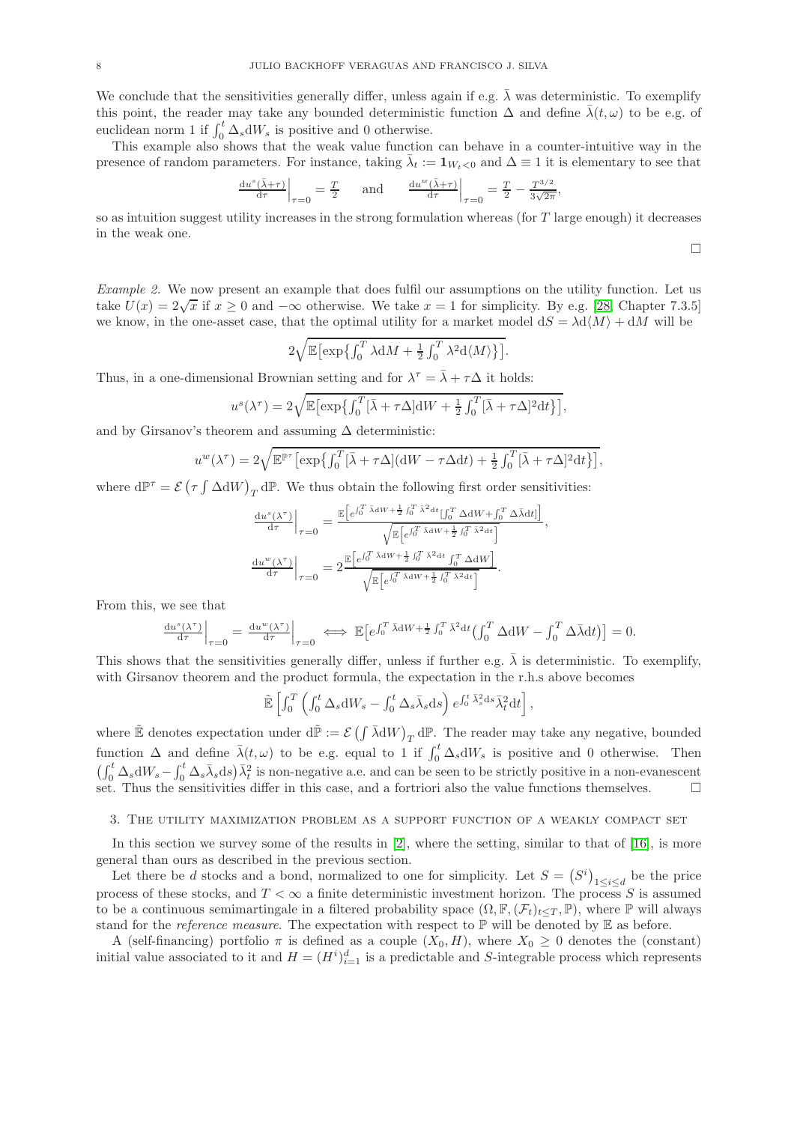We conclude that the sensitivities generally differ, unless again if e.g.  $\bar{\lambda}$  was deterministic. To exemplify this point, the reader may take any bounded deterministic function  $\Delta$  and define  $\bar{\lambda}(t,\omega)$  to be e.g. of euclidean norm 1 if  $\int_0^t \Delta_s dW_s$  is positive and 0 otherwise.

This example also shows that the weak value function can behave in a counter-intuitive way in the presence of random parameters. For instance, taking  $\bar{\lambda}_t := 1_{W_t < 0}$  and  $\Delta \equiv 1$  it is elementary to see that

$$
\frac{\mathrm{d}u^{s}(\bar{\lambda}+\tau)}{\mathrm{d}\tau}\Big|_{\tau=0} = \frac{T}{2} \quad \text{and} \quad \frac{\mathrm{d}u^{w}(\bar{\lambda}+\tau)}{\mathrm{d}\tau}\Big|_{\tau=0} = \frac{T}{2} - \frac{T^{3/2}}{3\sqrt{2\pi}}
$$

so as intuition suggest utility increases in the strong formulation whereas (for T large enough) it decreases in the weak one.

 $\Box$ 

,

Example 2. We now present an example that does fulfil our assumptions on the utility function. Let us take  $U(x) = 2\sqrt{x}$  if  $x \ge 0$  and  $-\infty$  otherwise. We take  $x = 1$  for simplicity. By e.g. [\[28,](#page-16-9) Chapter 7.3.5] we know, in the one-asset case, that the optimal utility for a market model  $dS = \lambda d(M) + dM$  will be

$$
2\sqrt{\mathbb{E}\left[\exp\left\{\int_0^T \lambda \mathrm{d}M + \frac{1}{2} \int_0^T \lambda^2 \mathrm{d}\langle M \rangle\right\}\right]}.
$$

Thus, in a one-dimensional Brownian setting and for  $\lambda^{\tau} = \bar{\lambda} + \tau \Delta$  it holds:

$$
u^{s}(\lambda^{\tau}) = 2\sqrt{\mathbb{E}\left[\exp\left\{\int_0^T [\bar{\lambda} + \tau \Delta] \mathrm{d}W + \frac{1}{2} \int_0^T [\bar{\lambda} + \tau \Delta]^2 \mathrm{d}t\right\}\right]},
$$

and by Girsanov's theorem and assuming  $\Delta$  deterministic:

$$
u^{w}(\lambda^{\tau}) = 2\sqrt{\mathbb{E}^{\mathbb{P}^{\tau}}\left[\exp\left\{\int_0^T [\bar{\lambda} + \tau \Delta](\mathrm{d}W - \tau \Delta \mathrm{d}t) + \frac{1}{2} \int_0^T [\bar{\lambda} + \tau \Delta]^2 \mathrm{d}t\right\}\right]},
$$

where  $d\mathbb{P}^{\tau} = \mathcal{E}(\tau \int \Delta dW)_{T} d\mathbb{P}$ . We thus obtain the following first order sensitivities:

$$
\frac{\mathrm{d}u^{s}(\lambda^{\tau})}{\mathrm{d}\tau}\Big|_{\tau=0} = \frac{\mathbb{E}\Big[e^{\int_{0}^{T} \bar{\lambda} dW + \frac{1}{2} \int_{0}^{T} \bar{\lambda}^{2} d t} \Big[\int_{0}^{T} \Delta dW + \int_{0}^{T} \Delta \bar{\lambda} d t]\Big]}{\sqrt{\mathbb{E}\Big[e^{\int_{0}^{T} \bar{\lambda} dW + \frac{1}{2} \int_{0}^{T} \bar{\lambda}^{2} d t}\Big]}},
$$
\n
$$
\frac{\mathrm{d}u^{w}(\lambda^{\tau})}{\mathrm{d}\tau}\Big|_{\tau=0} = 2 \frac{\mathbb{E}\Big[e^{\int_{0}^{T} \bar{\lambda} dW + \frac{1}{2} \int_{0}^{T} \bar{\lambda}^{2} d t} \int_{0}^{T} \Delta dW\Big]}{\sqrt{\mathbb{E}\Big[e^{\int_{0}^{T} \bar{\lambda} dW + \frac{1}{2} \int_{0}^{T} \bar{\lambda}^{2} d t}\Big]}}.
$$

From this, we see that

$$
\frac{\mathrm{d}u^{s}(\lambda^{\tau})}{\mathrm{d}\tau}\Big|_{\tau=0} = \frac{\mathrm{d}u^{w}(\lambda^{\tau})}{\mathrm{d}\tau}\Big|_{\tau=0} \iff \mathbb{E}\Big[e^{\int_{0}^{T} \bar{\lambda} \mathrm{d}W + \frac{1}{2}\int_{0}^{T} \bar{\lambda}^{2} \mathrm{d}t}\Big(\int_{0}^{T} \Delta \mathrm{d}W - \int_{0}^{T} \Delta \bar{\lambda} \mathrm{d}t\Big)\Big] = 0.
$$

This shows that the sensitivities generally differ, unless if further e.g.  $\overline{\lambda}$  is deterministic. To exemplify, with Girsanov theorem and the product formula, the expectation in the r.h.s above becomes

$$
\tilde{\mathbb{E}}\left[\int_0^T \left(\int_0^t \Delta_s \mathrm{d}W_s - \int_0^t \Delta_s \bar{\lambda}_s \mathrm{d}s\right) e^{\int_0^t \bar{\lambda}_s^2 \mathrm{d}s} \bar{\lambda}_t^2 \mathrm{d}t\right],
$$

where  $\tilde{E}$  denotes expectation under  $d\tilde{P} := \mathcal{E} \left( \int \bar{\lambda} dW \right)_T dP$ . The reader may take any negative, bounded function  $\Delta$  and define  $\bar{\lambda}(t,\omega)$  to be e.g. equal to 1 if  $\int_0^t \Delta_s dW_s$  is positive and 0 otherwise. Then  $(\int_0^t \Delta_s dW_s - \int_0^t \Delta_s \bar{\lambda}_s ds) \bar{\lambda}_t^2$  is non-negative a.e. and can be seen to be strictly positive in a non-evanescent set. Thus the sensitivities differ in this case, and a fortriori also the value functions themselves.  $\square$ 

### <span id="page-7-0"></span>3. The utility maximization problem as a support function of a weakly compact set

In this section we survey some of the results in  $[2]$ , where the setting, similar to that of  $[16]$ , is more general than ours as described in the previous section.

Let there be d stocks and a bond, normalized to one for simplicity. Let  $S = (S^i)_{1 \leq i \leq d}$  be the price process of these stocks, and  $T < \infty$  a finite deterministic investment horizon. The process S is assumed to be a continuous semimartingale in a filtered probability space  $(\Omega, \mathbb{F}, (\mathcal{F}_t)_{t\leq T}, \mathbb{P})$ , where P will always stand for the *reference measure*. The expectation with respect to  $\mathbb P$  will be denoted by  $\mathbb E$  as before.

A (self-financing) portfolio  $\pi$  is defined as a couple  $(X_0, H)$ , where  $X_0 \geq 0$  denotes the (constant) initial value associated to it and  $H = (H^i)_{i=1}^d$  is a predictable and S-integrable process which represents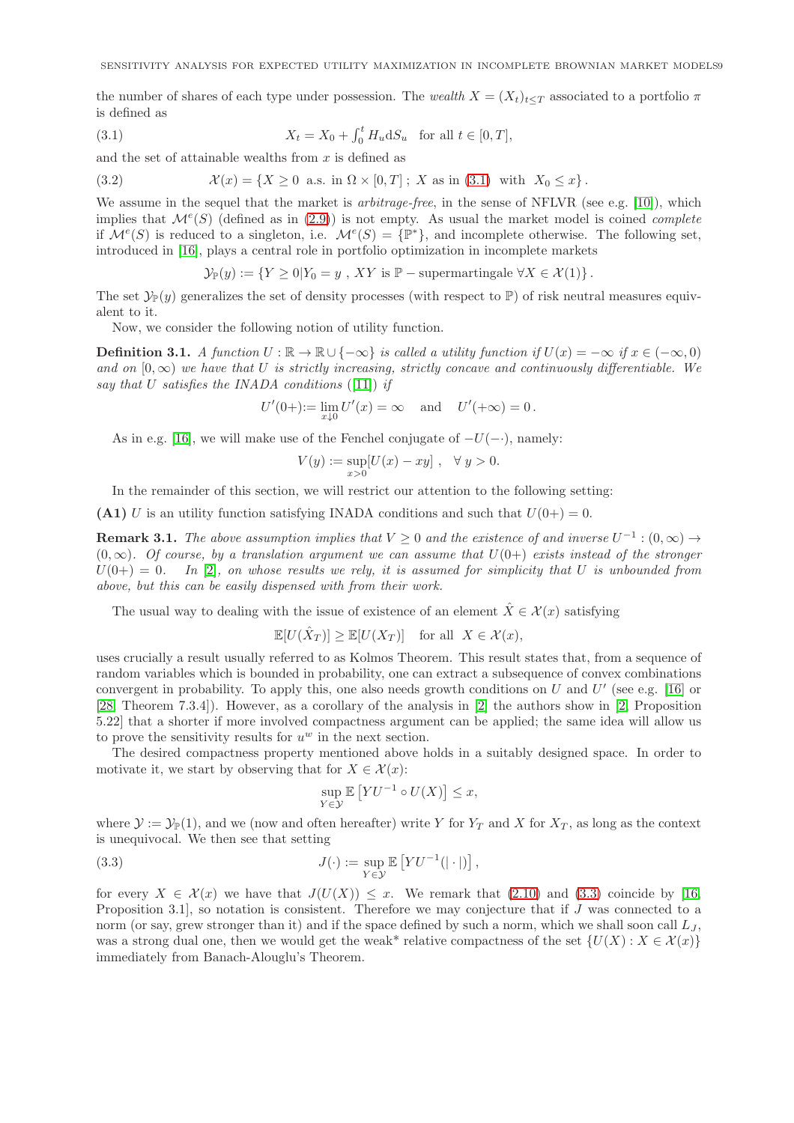the number of shares of each type under possession. The wealth  $X = (X_t)_{t \leq T}$  associated to a portfolio  $\pi$ is defined as

(3.1) 
$$
X_t = X_0 + \int_0^t H_u \, dS_u \quad \text{for all } t \in [0, T],
$$

and the set of attainable wealths from  $x$  is defined as

(3.2)  $\mathcal{X}(x) = \{X \ge 0 \text{ a.s. in } \Omega \times [0, T] ; X \text{ as in (3.1) with } X_0 \le x\}.$  $\mathcal{X}(x) = \{X \ge 0 \text{ a.s. in } \Omega \times [0, T] ; X \text{ as in (3.1) with } X_0 \le x\}.$  $\mathcal{X}(x) = \{X \ge 0 \text{ a.s. in } \Omega \times [0, T] ; X \text{ as in (3.1) with } X_0 \le x\}.$ 

We assume in the sequel that the market is *arbitrage-free*, in the sense of NFLVR (see e.g. [\[10\]](#page-16-24)), which implies that  $\mathcal{M}^e(S)$  (defined as in [\(2.9\)](#page-5-3)) is not empty. As usual the market model is coined *complete* if  $\mathcal{M}^e(S)$  is reduced to a singleton, i.e.  $\mathcal{M}^e(S) = {\mathbb{P}^*}$ , and incomplete otherwise. The following set, introduced in [\[16\]](#page-16-7), plays a central role in portfolio optimization in incomplete markets

<span id="page-8-1"></span>
$$
\mathcal{Y}_{\mathbb{P}}(y) := \{ Y \ge 0 | Y_0 = y, XY \text{ is } \mathbb{P}-\text{supermartingale } \forall X \in \mathcal{X}(1) \}.
$$

The set  $\mathcal{Y}_P(y)$  generalizes the set of density processes (with respect to P) of risk neutral measures equivalent to it.

Now, we consider the following notion of utility function.

<span id="page-8-0"></span>**Definition 3.1.** A function  $U : \mathbb{R} \to \mathbb{R} \cup \{-\infty\}$  is called a utility function if  $U(x) = -\infty$  if  $x \in (-\infty, 0)$ and on  $[0, \infty)$  we have that U is strictly increasing, strictly concave and continuously differentiable. We say that U satisfies the INADA conditions  $([11])$  $([11])$  $([11])$  if

$$
U'(0+) := \lim_{x \downarrow 0} U'(x) = \infty
$$
 and  $U'(+\infty) = 0$ .

As in e.g. [\[16\]](#page-16-7), we will make use of the Fenchel conjugate of  $-U(-)$ , namely:

$$
V(y) := \sup_{x>0} [U(x) - xy], \quad \forall \ y > 0.
$$

In the remainder of this section, we will restrict our attention to the following setting:

(A1) U is an utility function satisfying INADA conditions and such that  $U(0+) = 0$ .

**Remark 3.1.** The above assumption implies that  $V \ge 0$  and the existence of and inverse  $U^{-1}$ :  $(0, \infty) \rightarrow$  $(0, \infty)$ . Of course, by a translation argument we can assume that  $U(0+)$  exists instead of the stronger  $U(0+) = 0$ . In [\[2\]](#page-16-0), on whose results we rely, it is assumed for simplicity that U is unbounded from above, but this can be easily dispensed with from their work.

The usual way to dealing with the issue of existence of an element  $\hat{X} \in \mathcal{X}(x)$  satisfying

$$
\mathbb{E}[U(X_T)] \ge \mathbb{E}[U(X_T)] \quad \text{for all} \ \ X \in \mathcal{X}(x),
$$

uses crucially a result usually referred to as Kolmos Theorem. This result states that, from a sequence of random variables which is bounded in probability, one can extract a subsequence of convex combinations convergent in probability. To apply this, one also needs growth conditions on U and  $U'$  (see e.g. [\[16\]](#page-16-7) or [\[28,](#page-16-9) Theorem 7.3.4]). However, as a corollary of the analysis in [\[2\]](#page-16-0) the authors show in [\[2,](#page-16-0) Proposition 5.22] that a shorter if more involved compactness argument can be applied; the same idea will allow us to prove the sensitivity results for  $u^w$  in the next section.

The desired compactness property mentioned above holds in a suitably designed space. In order to motivate it, we start by observing that for  $X \in \mathcal{X}(x)$ :

<span id="page-8-2"></span>
$$
\sup_{Y \in \mathcal{Y}} \mathbb{E}\left[ YU^{-1} \circ U(X) \right] \le x,
$$

where  $\mathcal{Y} := \mathcal{Y}_{\mathbb{P}}(1)$ , and we (now and often hereafter) write Y for  $Y_T$  and X for  $X_T$ , as long as the context is unequivocal. We then see that setting

(3.3) 
$$
J(\cdot) := \sup_{Y \in \mathcal{Y}} \mathbb{E}\left[ YU^{-1}(|\cdot|)\right],
$$

for every  $X \in \mathcal{X}(x)$  we have that  $J(U(X)) \leq x$ . We remark that [\(2.10\)](#page-5-4) and [\(3.3\)](#page-8-2) coincide by [\[16,](#page-16-7) Proposition 3.1, so notation is consistent. Therefore we may conjecture that if J was connected to a norm (or say, grew stronger than it) and if the space defined by such a norm, which we shall soon call  $L_J$ , was a strong dual one, then we would get the weak\* relative compactness of the set  $\{U(X) : X \in \mathcal{X}(x)\}\$ immediately from Banach-Alouglu's Theorem.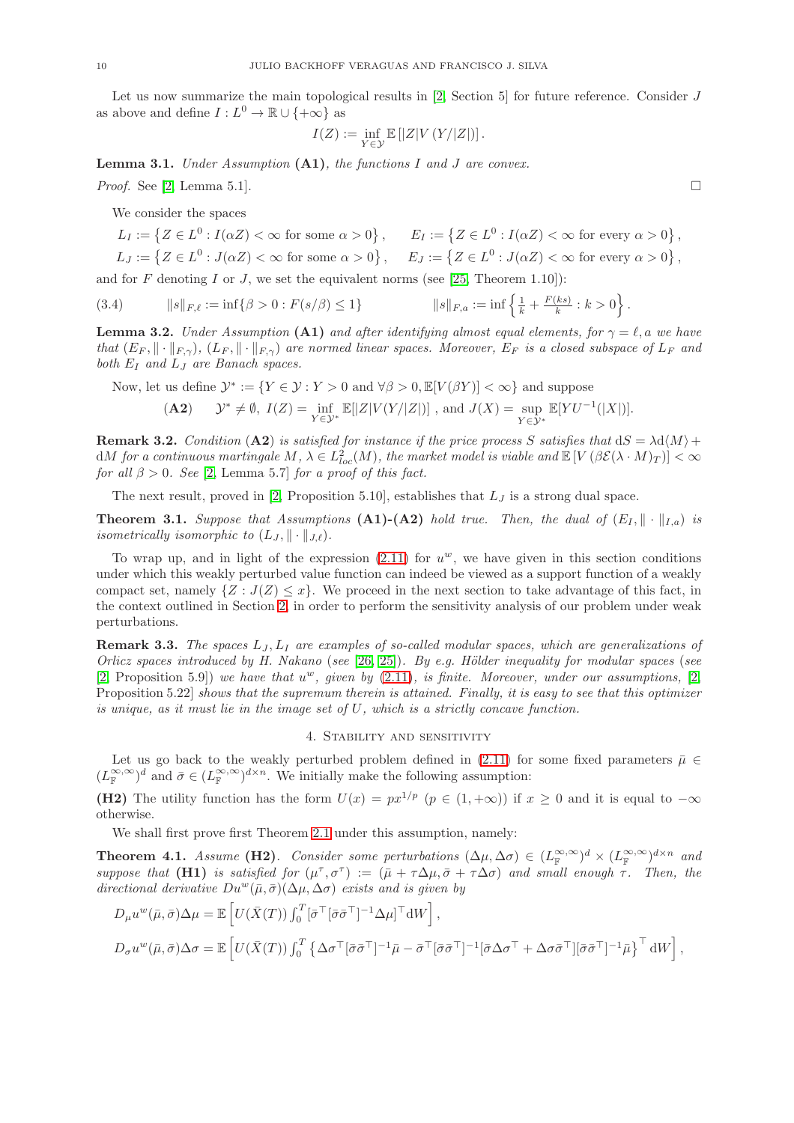Let us now summarize the main topological results in  $[2, Section 5]$  for future reference. Consider J as above and define  $I: L^0 \to \mathbb{R} \cup \{+\infty\}$  as

$$
I(Z) := \inf_{Y \in \mathcal{Y}} \mathbb{E}\left[|Z|V(Y/|Z|)\right].
$$

**Lemma 3.1.** Under Assumption (A1), the functions I and J are convex.

*Proof.* See [\[2,](#page-16-0) Lemma 5.1].

We consider the spaces

$$
L_I := \left\{ Z \in L^0 : I(\alpha Z) < \infty \text{ for some } \alpha > 0 \right\}, \qquad E_I := \left\{ Z \in L^0 : I(\alpha Z) < \infty \text{ for every } \alpha > 0 \right\},
$$

 $L_J := \left\{ Z \in L^0 : J(\alpha Z) < \infty \text{ for some } \alpha > 0 \right\}, \quad E_J := \left\{ Z \in L^0 : J(\alpha Z) < \infty \text{ for every } \alpha > 0 \right\},$ 

and for F denoting I or J, we set the equivalent norms (see [\[25,](#page-16-26) Theorem 1.10]):

<span id="page-9-3"></span>(3.4) 
$$
||s||_{F,\ell} := \inf \{ \beta > 0 : F(s/\beta) \le 1 \} \qquad ||s||_{F,a} := \inf \left\{ \frac{1}{k} + \frac{F(ks)}{k} : k > 0 \right\}.
$$

**Lemma 3.2.** Under Assumption (A1) and after identifying almost equal elements, for  $\gamma = \ell$ , a we have that  $(E_F, \|\cdot\|_{F\gamma})$ ,  $(E_F, \|\cdot\|_{F\gamma})$  are normed linear spaces. Moreover,  $E_F$  is a closed subspace of  $L_F$  and both  $E_I$  and  $L_J$  are Banach spaces.

Now, let us define  $\mathcal{Y}^* := \{ Y \in \mathcal{Y} : Y > 0 \text{ and } \forall \beta > 0, \mathbb{E}[V(\beta Y)] < \infty \}$  and suppose

(A2) 
$$
\mathcal{Y}^* \neq \emptyset
$$
,  $I(Z) = \inf_{Y \in \mathcal{Y}^*} \mathbb{E}[|Z|V(Y/|Z|)]$ , and  $J(X) = \sup_{Y \in \mathcal{Y}^*} \mathbb{E}[YU^{-1}(|X|)].$ 

<span id="page-9-1"></span>**Remark 3.2.** Condition (A2) is satisfied for instance if the price process S satisfies that  $dS = \lambda d\langle M \rangle + dS$  $dM$  for a continuous martingale  $M, \, \lambda \in L^2_{loc}(M),$  the market model is viable and  $\mathbb{E}\left[ V\left(\beta \mathcal{E}(\lambda\cdot M)_T\right)\right]<\infty$ for all  $\beta > 0$ . See [\[2,](#page-16-0) Lemma 5.7] for a proof of this fact.

The next result, proved in [\[2,](#page-16-0) Proposition 5.10], establishes that  $L_J$  is a strong dual space.

<span id="page-9-2"></span>**Theorem 3.1.** Suppose that Assumptions (A1)-(A2) hold true. Then, the dual of  $(E_I, \|\cdot\|_{I,a})$  is isometrically isomorphic to  $(L_J, \|\cdot\|_{J\ell})$ .

To wrap up, and in light of the expression  $(2.11)$  for  $u^w$ , we have given in this section conditions under which this weakly perturbed value function can indeed be viewed as a support function of a weakly compact set, namely  $\{Z : J(Z) \leq x\}$ . We proceed in the next section to take advantage of this fact, in the context outlined in Section [2,](#page-2-0) in order to perform the sensitivity analysis of our problem under weak perturbations.

**Remark 3.3.** The spaces  $L_J$ ,  $L_I$  are examples of so-called modular spaces, which are generalizations of Orlicz spaces introduced by H. Nakano (see  $[26, 25]$  $[26, 25]$ ). By e.g. Hölder inequality for modular spaces (see [\[2,](#page-16-0) Proposition 5.9]) we have that  $u^w$ , given by [\(2.11\)](#page-5-2), is finite. Moreover, under our assumptions, [2, Proposition 5.22] shows that the supremum therein is attained. Finally, it is easy to see that this optimizer is unique, as it must lie in the image set of U, which is a strictly concave function.

# 4. Stability and sensitivity

<span id="page-9-0"></span>Let us go back to the weakly perturbed problem defined in [\(2.11\)](#page-5-2) for some fixed parameters  $\bar{\mu} \in$  $(L_{\mathbb{F}}^{\infty,\infty})^d$  and  $\bar{\sigma} \in (L_{\mathbb{F}}^{\infty,\infty})^{d \times n}$ . We initially make the following assumption:

(H2) The utility function has the form  $U(x) = px^{1/p}$   $(p \in (1, +\infty))$  if  $x \ge 0$  and it is equal to  $-\infty$ otherwise.

We shall first prove first Theorem [2.1](#page-6-0) under this assumption, namely:

<span id="page-9-4"></span>**Theorem 4.1.** Assume (H2). Consider some perturbations  $(\Delta \mu, \Delta \sigma) \in (L^{\infty, \infty}_{\mathbb{F}})^d \times (L^{\infty, \infty}_{\mathbb{F}})^{d \times n}$  and suppose that (H1) is satisfied for  $(\mu^{\tau}, \sigma^{\tau}) := (\bar{\mu} + \tau \Delta \mu, \bar{\sigma} + \tau \Delta \sigma)$  and small enough  $\tau$ . Then, the directional derivative  $D u^w(\bar{\mu}, \bar{\sigma}) (\Delta \mu, \Delta \sigma)$  exists and is given by

$$
D_{\mu}u^{w}(\bar{\mu},\bar{\sigma})\Delta\mu = \mathbb{E}\left[U(\bar{X}(T))\int_{0}^{T} [\bar{\sigma}^{\top}[\bar{\sigma}\bar{\sigma}^{\top}]^{-1}\Delta\mu]^{\top}dW\right],
$$
  
\n
$$
D_{\sigma}u^{w}(\bar{\mu},\bar{\sigma})\Delta\sigma = \mathbb{E}\left[U(\bar{X}(T))\int_{0}^{T}\left\{\Delta\sigma^{\top}[\bar{\sigma}\bar{\sigma}^{\top}]^{-1}\bar{\mu} - \bar{\sigma}^{\top}[\bar{\sigma}\bar{\sigma}^{\top}]^{-1}[\bar{\sigma}\Delta\sigma^{\top} + \Delta\sigma\bar{\sigma}^{\top}][\bar{\sigma}\bar{\sigma}^{\top}]^{-1}\bar{\mu}\right\}^{\top}dW\right],
$$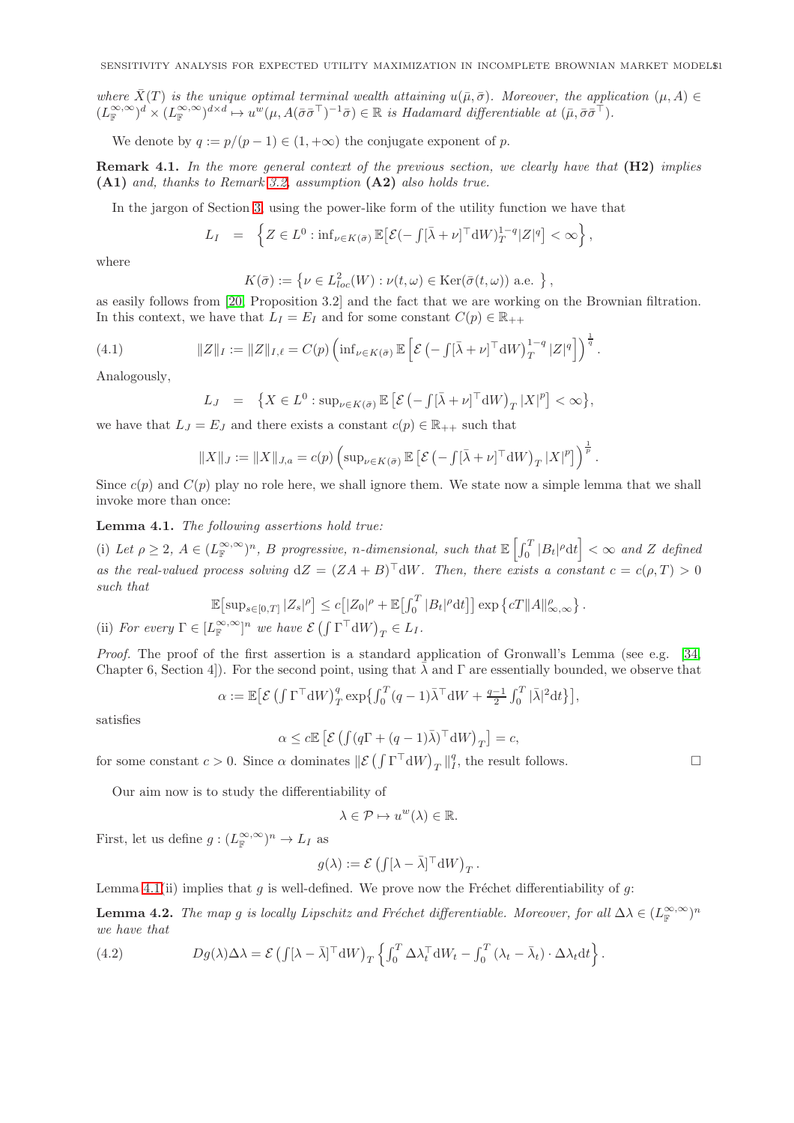where  $\bar{X}(T)$  is the unique optimal terminal wealth attaining  $u(\bar{\mu}, \bar{\sigma})$ . Moreover, the application  $(\mu, A) \in \mathbb{R}^n$  $(L^{\infty,\infty}_{\mathbb{F}})^d \times (L^{\infty,\infty}_{\mathbb{F}})^{d \times d} \mapsto u^w(\mu, A(\bar{\sigma}\bar{\sigma}^{\top})^{-1}\bar{\sigma}) \in \mathbb{R}$  is Hadamard differentiable at  $(\bar{\mu}, \bar{\sigma}\bar{\sigma}^{\top}).$ 

We denote by  $q := p/(p-1) \in (1, +\infty)$  the conjugate exponent of p.

Remark 4.1. In the more general context of the previous section, we clearly have that (H2) implies (A1) and, thanks to Remark [3.2,](#page-9-1) assumption (A2) also holds true.

In the jargon of Section [3,](#page-7-0) using the power-like form of the utility function we have that

$$
L_I = \left\{ Z \in L^0 : \inf_{\nu \in K(\bar{\sigma})} \mathbb{E} \left[ \mathcal{E}(-\int [\bar{\lambda} + \nu]^\top \mathrm{d}W)_T^{1-q} |Z|^q \right] < \infty \right\},
$$

where

$$
K(\bar{\sigma}) := \left\{ \nu \in L^{2}_{loc}(W) : \nu(t,\omega) \in \text{Ker}(\bar{\sigma}(t,\omega)) \text{ a.e. } \right\},\
$$

as easily follows from [\[20,](#page-16-11) Proposition 3.2] and the fact that we are working on the Brownian filtration. In this context, we have that  $L_I = E_I$  and for some constant  $C(p) \in \mathbb{R}_{++}$ 

(4.1) 
$$
\|Z\|_I := \|Z\|_{I,\ell} = C(p) \left( \inf_{\nu \in K(\bar{\sigma})} \mathbb{E} \left[ \mathcal{E} \left( -\int [\bar{\lambda} + \nu]^\top \mathrm{d} W \right)_T^{1-q} |Z|^q \right] \right)^{\frac{1}{q}}.
$$

Analogously,

<span id="page-10-2"></span>
$$
L_J = \{ X \in L^0 : \sup_{\nu \in K(\bar{\sigma})} \mathbb{E} \left[ \mathcal{E} \left( - \int [\bar{\lambda} + \nu]^\top \mathrm{d} W \right)_T |X|^p \right] < \infty \},
$$

we have that  $L_J = E_J$  and there exists a constant  $c(p) \in \mathbb{R}_{++}$  such that

$$
||X||_J := ||X||_{J,a} = c(p) \left( \sup_{\nu \in K(\bar{\sigma})} \mathbb{E} \left[ \mathcal{E} \left( -\int [\bar{\lambda} + \nu]^\top dW \right)_T |X|^p \right] \right)^{\frac{1}{p}}.
$$

Since  $c(p)$  and  $C(p)$  play no role here, we shall ignore them. We state now a simple lemma that we shall invoke more than once:

<span id="page-10-0"></span>Lemma 4.1. The following assertions hold true:

(i) Let  $\rho \geq 2$ ,  $A \in (L^{\infty,\infty}_{\mathbb{F}})^n$ , B progressive, n-dimensional, such that  $\mathbb{E}\left[\int_0^T |B_t|^{\rho} dt\right] < \infty$  and Z defined as the real-valued process solving  $dZ = (ZA + B)^T dW$ . Then, there exists a constant  $c = c(\rho, T) > 0$ such that

$$
\mathbb{E}\big[\sup_{s\in[0,T]}|Z_s|^\rho\big]\leq c\big[|Z_0|^\rho+\mathbb{E}\big[\int_0^T|B_t|^\rho\mathrm{d}t\big]\big]\exp\big\{cT\|A\|_{\infty,\infty}^\rho\big\}\,.
$$
\n(ii) For every  $\Gamma\in[L_\mathbb{F}^{\infty,\infty}]^n$  we have  $\mathcal{E}\left(\int\Gamma^\top\mathrm{d}W\right)_T\in L_I$ .

Proof. The proof of the first assertion is a standard application of Gronwall's Lemma (see e.g. [\[34,](#page-16-28) Chapter 6, Section 4]). For the second point, using that  $\bar{\lambda}$  and  $\Gamma$  are essentially bounded, we observe that

$$
\alpha := \mathbb{E}\big[\mathcal{E}\left(\int \Gamma^\top \mathrm{d}W\right)_T^q \exp\big\{\int_0^T (q-1)\bar{\lambda}^\top \mathrm{d}W + \frac{q-1}{2} \int_0^T |\bar{\lambda}|^2 \mathrm{d}t\big\}\big],
$$

satisfies

$$
\alpha \leq c \mathbb{E}\left[\mathcal{E}\left(\int (q\Gamma+(q-1)\bar{\lambda})^{\top}\mathrm{d} W\right)_T\right]=c,
$$

for some constant  $c > 0$ . Since  $\alpha$  dominates  $\|\mathcal{E}(\int \Gamma^{\top} dW)_{T}\|_{I}^{q}$ , the result follows.

Our aim now is to study the differentiability of

$$
\lambda \in \mathcal{P} \mapsto u^w(\lambda) \in \mathbb{R}.
$$

First, let us define  $g: (L^{\infty,\infty}_\mathbb{F})^n \to L_I$  as

$$
g(\lambda):=\mathcal{E}\left(\int [\lambda-\bar{\lambda}]^{\top}\mathrm{d}W\right)_{T}
$$

.

Lemma [4.1\(](#page-10-0)ii) implies that g is well-defined. We prove now the Fréchet differentiability of g:

<span id="page-10-3"></span>**Lemma 4.2.** The map g is locally Lipschitz and Fréchet differentiable. Moreover, for all  $\Delta\lambda \in (L^{\infty,\infty}_{\mathbb{F}})^n$ we have that

<span id="page-10-1"></span>(4.2) 
$$
Dg(\lambda)\Delta\lambda = \mathcal{E}\left(\int [\lambda - \bar{\lambda}]^{\top} dW\right)_T \left\{\int_0^T \Delta\lambda_t^{\top} dW_t - \int_0^T (\lambda_t - \bar{\lambda}_t) \cdot \Delta\lambda_t dt\right\}.
$$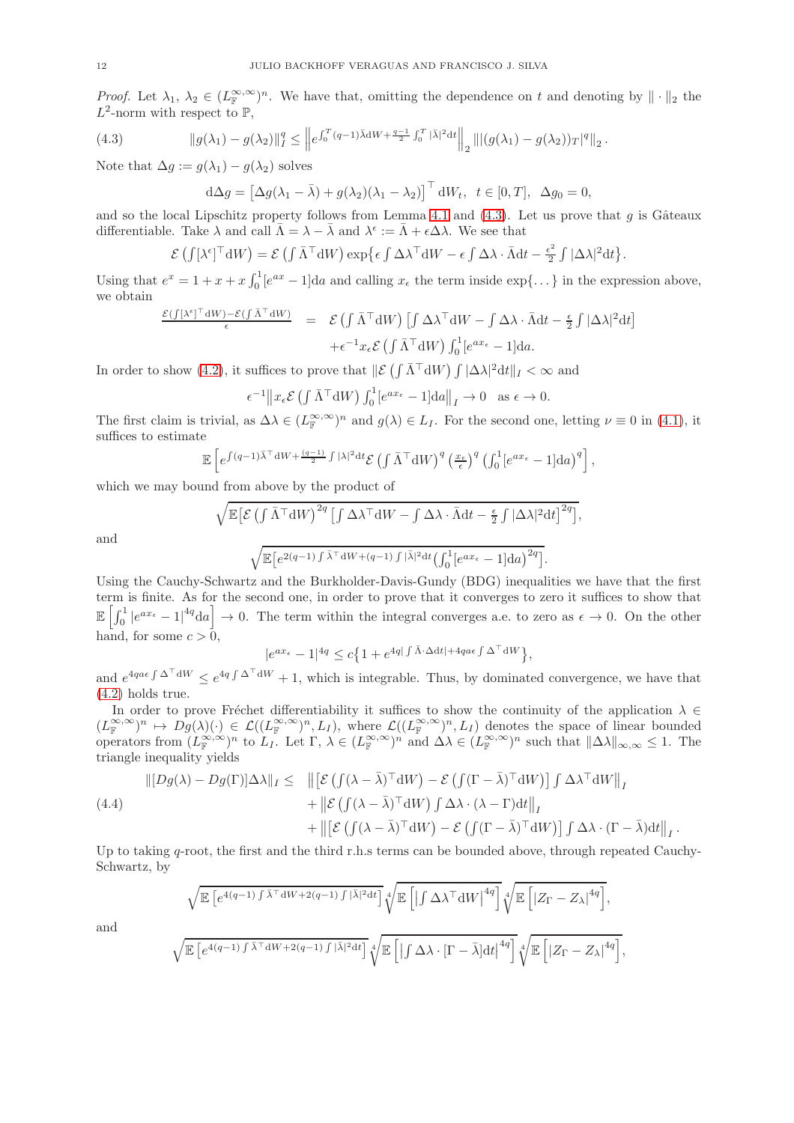Proof. Let  $\lambda_1, \lambda_2 \in (L^{\infty,\infty}_\mathbb{F})^n$ . We have that, omitting the dependence on t and denoting by  $\|\cdot\|_2$  the  $L^2$ -norm with respect to  $\mathbb{P},$ 

(4.3) 
$$
\|g(\lambda_1) - g(\lambda_2)\|_I^q \leq \|e^{\int_0^T (q-1)\bar{\lambda}dW + \frac{q-1}{2}\int_0^T |\bar{\lambda}|^2 dt} \|g(\lambda_1) - g(\lambda_2))_T|^q \|_2.
$$

Note that  $\Delta g := g(\lambda_1) - g(\lambda_2)$  solves

<span id="page-11-0"></span>
$$
d\Delta g = \left[\Delta g(\lambda_1 - \bar{\lambda}) + g(\lambda_2)(\lambda_1 - \lambda_2)\right]^\top dW_t, \quad t \in [0, T], \quad \Delta g_0 = 0,
$$

and so the local Lipschitz property follows from Lemma [4.1](#page-10-0) and  $(4.3)$ . Let us prove that g is Gâteaux differentiable. Take  $\lambda$  and call  $\bar{\Lambda} = \lambda - \bar{\lambda}$  and  $\lambda^{\epsilon} := \bar{\Lambda} + \epsilon \Delta \lambda$ . We see that

$$
\mathcal{E}\left(\int [\lambda^{\epsilon}]^{\top} dW\right) = \mathcal{E}\left(\int \bar{\Lambda}^{\top} dW\right) \exp\left\{\epsilon \int \Delta \lambda^{\top} dW - \epsilon \int \Delta \lambda \cdot \bar{\Lambda} dt - \frac{\epsilon^2}{2} \int |\Delta \lambda|^2 dt\right\}.
$$

Using that  $e^x = 1 + x + x \int_0^1 [e^{ax} - 1] da$  and calling  $x_{\epsilon}$  the term inside  $\exp\{\dots\}$  in the expression above, we obtain

$$
\frac{\mathcal{E}(\int [\lambda^{\epsilon}]^{\top} dW) - \mathcal{E}(\int \bar{\Lambda}^{\top} dW)}{\epsilon} = \mathcal{E}(\int \bar{\Lambda}^{\top} dW) \left[ \int \Delta \lambda^{\top} dW - \int \Delta \lambda \cdot \bar{\Lambda} dt - \frac{\epsilon}{2} \int |\Delta \lambda|^2 dt \right] + \epsilon^{-1} x_{\epsilon} \mathcal{E}(\int \bar{\Lambda}^{\top} dW) \int_0^1 [e^{ax_{\epsilon}} - 1] da.
$$

In order to show [\(4.2\)](#page-10-1), it suffices to prove that  $\|\mathcal{E}(\int \bar{\Lambda}^{\top} dW) \int |\Delta\lambda|^2 dt \|_I < \infty$  and

$$
\epsilon^{-1} \|x_{\epsilon} \mathcal{E} \left( \int \bar{\Lambda}^{\top} dW \right) \int_0^1 [e^{ax_{\epsilon}} - 1] da \|_I \to 0 \text{ as } \epsilon \to 0.
$$

The first claim is trivial, as  $\Delta \lambda \in (L^{\infty,\infty}_{\mathbb{F}})^n$  and  $g(\lambda) \in L_I$ . For the second one, letting  $\nu \equiv 0$  in [\(4.1\)](#page-10-2), it suffices to estimate

$$
\mathbb{E}\left[e^{\int (q-1)\bar{\lambda}^{\top}dW + \frac{(q-1)}{2}\int |\lambda|^2 dt} \mathcal{E}\left(\int \bar{\Lambda}^{\top}dW\right)^q \left(\frac{x_{\epsilon}}{\epsilon}\right)^q \left(\int_0^1 [e^{ax_{\epsilon}}-1]da\right)^q\right],
$$

which we may bound from above by the product of

$$
\sqrt{\mathbb{E}\left[\mathcal{E}\left(\int \bar{\Lambda}^\top \mathrm{d}W\right)^{2q}\left[\int \Delta \lambda^\top \mathrm{d}W - \int \Delta \lambda \cdot \bar{\Lambda} \mathrm{d}t - \frac{\epsilon}{2} \int |\Delta \lambda|^2 \mathrm{d}t\right]^{2q}},
$$
  

$$
\sqrt{\mathbb{E}\left[e^{2(q-1)\int \bar{\lambda}^\top \mathrm{d}W + (q-1)\int |\bar{\lambda}|^2 \mathrm{d}t} \left(\int_0^1 \left[e^{ax_\epsilon} - 1\right] \mathrm{d}a\right)^{2q}\right]}.
$$

and

Using the Cauchy-Schwartz and the Burkholder-Davis-Gundy (BDG) inequalities we have that the first term is finite. As for the second one, in order to prove that it converges to zero it suffices to show that  $\mathbb{E}\left[\int_0^1 |e^{ax_\epsilon}-1|^{4q}\mathrm{d}a\right]\to 0.$  The term within the integral converges a.e. to zero as  $\epsilon\to 0.$  On the other hand, for some  $c > 0$ ,

$$
|e^{ax_{\epsilon}}-1|^{4q} \leq c\left\{1+e^{4q|\int \bar{\Lambda}\cdot\Delta\mathrm{d}t|+4qa\epsilon\int \Delta^{\top}\mathrm{d}W}\right\},\,
$$

and  $e^{4qa\epsilon \int \Delta^{\top}dW} \leq e^{4q \int \Delta^{\top}dW} + 1$ , which is integrable. Thus, by dominated convergence, we have that [\(4.2\)](#page-10-1) holds true.

In order to prove Fréchet differentiability it suffices to show the continuity of the application  $\lambda \in$  $(L^{\infty,\infty}_\mathbb{F})^n \mapsto Dg(\lambda)(\cdot) \in \mathcal{L}((L^{\infty,\infty}_\mathbb{F})^n,L_I),$  where  $\mathcal{L}((L^{\infty,\infty}_\mathbb{F})^n,L_I)$  denotes the space of linear bounded operators from  $(L^{\infty,\infty}_{\mathbb{F}})^n$  to  $L_I$ . Let  $\Gamma$ ,  $\lambda \in (L^{\infty,\infty}_{\mathbb{F}})^n$  and  $\Delta\lambda \in (L^{\infty,\infty}_{\mathbb{F}})^n$  such that  $\|\Delta\lambda\|_{\infty,\infty} \leq 1$ . The triangle inequality yields

<span id="page-11-1"></span>
$$
\| [Dg(\lambda) - Dg(\Gamma)] \Delta \lambda \|_I \leq \| [\mathcal{E} \left( \int (\lambda - \bar{\lambda})^\top \mathrm{d}W \right) - \mathcal{E} \left( \int (\Gamma - \bar{\lambda})^\top \mathrm{d}W \right) ] \int \Delta \lambda^\top \mathrm{d}W \|_I
$$
  
+ 
$$
\| \mathcal{E} \left( \int (\lambda - \bar{\lambda})^\top \mathrm{d}W \right) \int \Delta \lambda \cdot (\lambda - \Gamma) \mathrm{d}t \|_I
$$
  
+ 
$$
\| [\mathcal{E} \left( \int (\lambda - \bar{\lambda})^\top \mathrm{d}W \right) - \mathcal{E} \left( \int (\Gamma - \bar{\lambda})^\top \mathrm{d}W \right) ] \int \Delta \lambda \cdot (\Gamma - \bar{\lambda}) \mathrm{d}t \|_I.
$$

Up to taking q-root, the first and the third r.h.s terms can be bounded above, through repeated Cauchy-Schwartz, by

$$
\sqrt{\mathbb{E}\left[e^{4(q-1)\int \bar{\lambda}^{\top}dW+2(q-1)\int |\bar{\lambda}|^2dt}\right]}\sqrt{\mathbb{E}\left[\left|\int \Delta\lambda^{\top}dW\right|^{4q}\right]}\sqrt{\mathbb{E}\left[\left|Z_{\Gamma}-Z_{\lambda}\right|^{4q}\right]},
$$
  

$$
\sqrt{\mathbb{E}\left[e^{4(q-1)\int \bar{\lambda}^{\top}dW+2(q-1)\int |\bar{\lambda}|^2dt}\right]}\sqrt[4]{\mathbb{E}\left[\left|\int \Delta\lambda\cdot\left[\Gamma-\bar{\lambda}\right]dt\right|^{4q}\right]}\sqrt[4]{\mathbb{E}\left[\left|Z_{\Gamma}-Z_{\lambda}\right|^{4q}\right]},
$$

and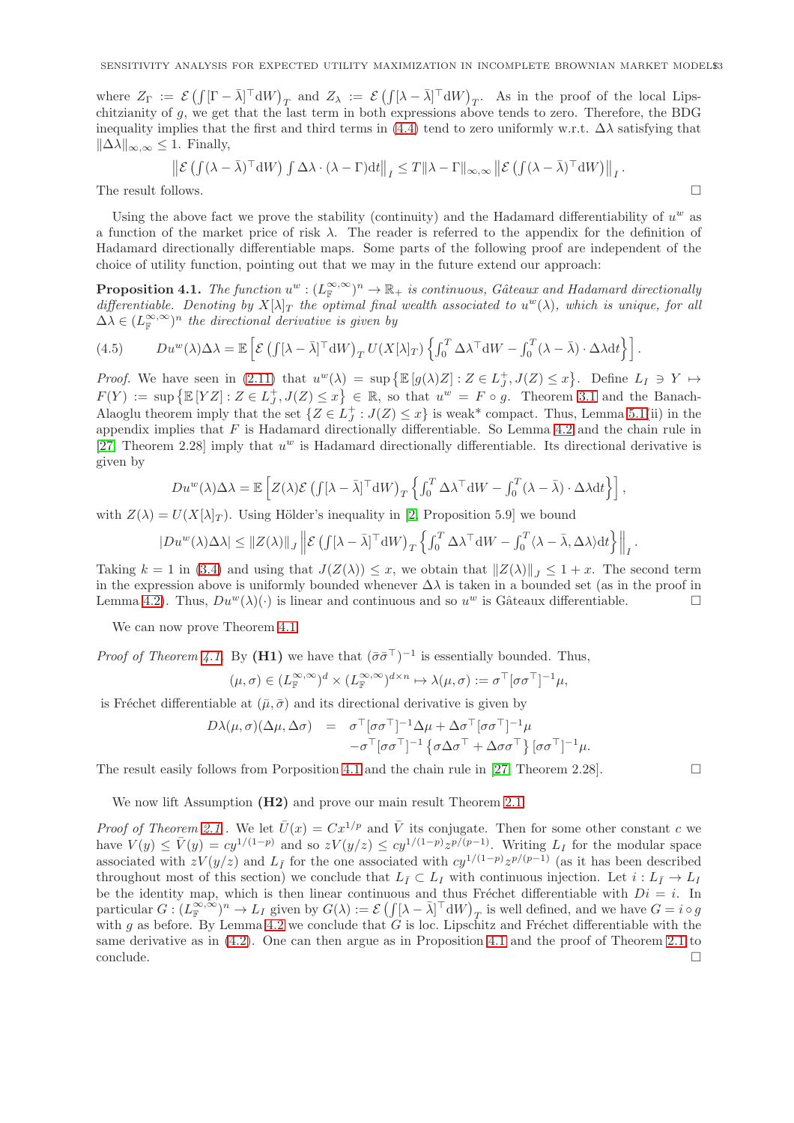where  $Z_{\Gamma} := \mathcal{E} \left( \int [\Gamma - \bar{\lambda}]^{\top} dW \right)_{T}$  and  $Z_{\lambda} := \mathcal{E} \left( \int [\lambda - \bar{\lambda}]^{\top} dW \right)_{T}$ . As in the proof of the local Lipschitzianity of g, we get that the last term in both expressions above tends to zero. Therefore, the BDG inequality implies that the first and third terms in [\(4.4\)](#page-11-1) tend to zero uniformly w.r.t.  $\Delta\lambda$  satisfying that  $\|\Delta\lambda\|_{\infty,\infty} \leq 1$ . Finally,

$$
\|\mathcal{E}(\int (\lambda - \bar{\lambda})^{\top} dW) \int \Delta \lambda \cdot (\lambda - \Gamma) dt \|_{I} \leq T \|\lambda - \Gamma\|_{\infty, \infty} \|\mathcal{E}(\int (\lambda - \bar{\lambda})^{\top} dW) \|_{I}.
$$
  
The result follows.

Using the above fact we prove the stability (continuity) and the Hadamard differentiability of  $u^w$  as a function of the market price of risk  $\lambda$ . The reader is referred to the appendix for the definition of Hadamard directionally differentiable maps. Some parts of the following proof are independent of the choice of utility function, pointing out that we may in the future extend our approach:

<span id="page-12-0"></span>**Proposition 4.1.** The function  $u^w : (L^{\infty,\infty}_F)^n \to \mathbb{R}_+$  is continuous, Gâteaux and Hadamard directionally differentiable. Denoting by  $X[\lambda]_T$  the optimal final wealth associated to  $u^w(\lambda)$ , which is unique, for all  $\Delta\lambda \in (L_{\mathbb{F}}^{\infty,\infty})^n$  the directional derivative is given by

<span id="page-12-1"></span>(4.5) 
$$
Du^{w}(\lambda)\Delta\lambda = \mathbb{E}\left[\mathcal{E}\left(\int[\lambda-\bar{\lambda}]^{T}dW\right)_{T}U(X[\lambda]_{T})\left\{\int_{0}^{T}\Delta\lambda^{T}dW-\int_{0}^{T}(\lambda-\bar{\lambda})\cdot\Delta\lambda dt\right\}\right].
$$

*Proof.* We have seen in [\(2.11\)](#page-5-2) that  $u^w(\lambda) = \sup \{ \mathbb{E}[g(\lambda)Z] : Z \in L_J^+, J(Z) \leq x \}.$  Define  $L_I \ni Y \mapsto$  $F(Y) := \sup \{ \mathbb{E}[YZ] : Z \in L_J^+, J(Z) \leq x \} \in \mathbb{R}$ , so that  $u^w = F \circ g$ . Theorem [3.1](#page-9-2) and the Banach-Alaoglu theorem imply that the set  $\{Z \in L_J^+ : J(Z) \leq x\}$  is weak\* compact. Thus, Lemma [5.1\(](#page-15-0)ii) in the appendix implies that  $F$  is Hadamard directionally differentiable. So Lemma [4.2](#page-10-3) and the chain rule in [\[27,](#page-16-29) Theorem 2.28] imply that  $u^w$  is Hadamard directionally differentiable. Its directional derivative is given by

$$
Du^{w}(\lambda)\Delta\lambda = \mathbb{E}\left[Z(\lambda)\mathcal{E}\left(\int [\lambda-\bar{\lambda}]^{T} dW\right)_{T}\left\{\int_{0}^{T} \Delta\lambda^{T} dW - \int_{0}^{T} (\lambda-\bar{\lambda}) \cdot \Delta\lambda dt\right\}\right],
$$

with  $Z(\lambda) = U(X[\lambda]_T)$ . Using Hölder's inequality in [\[2,](#page-16-0) Proposition 5.9] we bound

$$
|Du^w(\lambda)\Delta\lambda| \leq ||Z(\lambda)||_J \left\| \mathcal{E} \left( \int [\lambda - \bar{\lambda}]^\top \mathrm{d}W \right)_T \left\{ \int_0^T \Delta\lambda^\top \mathrm{d}W - \int_0^T \langle \lambda - \bar{\lambda}, \Delta\lambda \rangle \mathrm{d}t \right\} \right\|_I.
$$

Taking  $k = 1$  in [\(3.4\)](#page-9-3) and using that  $J(Z(\lambda)) \leq x$ , we obtain that  $||Z(\lambda)||_J \leq 1 + x$ . The second term in the expression above is uniformly bounded whenever  $\Delta\lambda$  is taken in a bounded set (as in the proof in Lemma [4.2\)](#page-10-3). Thus,  $Du^w(\lambda)(\cdot)$  is linear and continuous and so  $u^w$  is Gâteaux differentiable.

We can now prove Theorem [4.1](#page-9-4)

*Proof of Theorem [4.1.](#page-9-4)* By (H1) we have that  $(\bar{\sigma}\bar{\sigma}^{\top})^{-1}$  is essentially bounded. Thus,

$$
(\mu, \sigma) \in (L^{\infty,\infty}_{\mathbb{F}})^d \times (L^{\infty,\infty}_{\mathbb{F}})^{d \times n} \mapsto \lambda(\mu, \sigma) := \sigma^{\top} [\sigma \sigma^{\top}]^{-1} \mu,
$$

is Fréchet differentiable at  $(\bar{\mu}, \bar{\sigma})$  and its directional derivative is given by

$$
D\lambda(\mu,\sigma)(\Delta\mu,\Delta\sigma) = \sigma^{\top}[\sigma\sigma^{\top}]^{-1}\Delta\mu + \Delta\sigma^{\top}[\sigma\sigma^{\top}]^{-1}\mu - \sigma^{\top}[\sigma\sigma^{\top}]^{-1}\left\{\sigma\Delta\sigma^{\top} + \Delta\sigma\sigma^{\top}\right\}[\sigma\sigma^{\top}]^{-1}\mu.
$$

The result easily follows from Porposition [4.1](#page-12-0) and the chain rule in [\[27,](#page-16-29) Theorem 2.28].

We now lift Assumption ( $H2$ ) and prove our main result Theorem [2.1:](#page-6-0)

*Proof of Theorem [2.1](#page-6-0)*. We let  $\bar{U}(x) = Cx^{1/p}$  and  $\bar{V}$  its conjugate. Then for some other constant c we have  $V(y) \le \bar{V}(y) = cy^{1/(1-p)}$  and so  $zV(y/z) \le cy^{1/(1-p)}z^{p/(p-1)}$ . Writing  $L_I$  for the modular space associated with  $zV(y/z)$  and  $L_{\bar{I}}$  for the one associated with  $cy^{1/(1-p)}z^{p/(p-1)}$  (as it has been described throughout most of this section) we conclude that  $L_{\bar{I}} \subset L_I$  with continuous injection. Let  $i : L_{\bar{I}} \to L_I$ be the identity map, which is then linear continuous and thus Fréchet differentiable with  $Di = i$ . In particular  $G: (L^{\infty,\infty}_{\mathbb{F}})^n \to L_I$  given by  $G(\lambda) := \mathcal{E} \left( \int [\lambda - \overline{\lambda}]^{\top} dW \right)_T$  is well defined, and we have  $G = i \circ g$ with g as before. By Lemma [4.2](#page-10-3) we conclude that  $G$  is loc. Lipschitz and Fréchet differentiable with the same derivative as in [\(4.2\)](#page-10-1). One can then argue as in Proposition [4.1](#page-12-0) and the proof of Theorem [2.1](#page-6-0) to conclude. □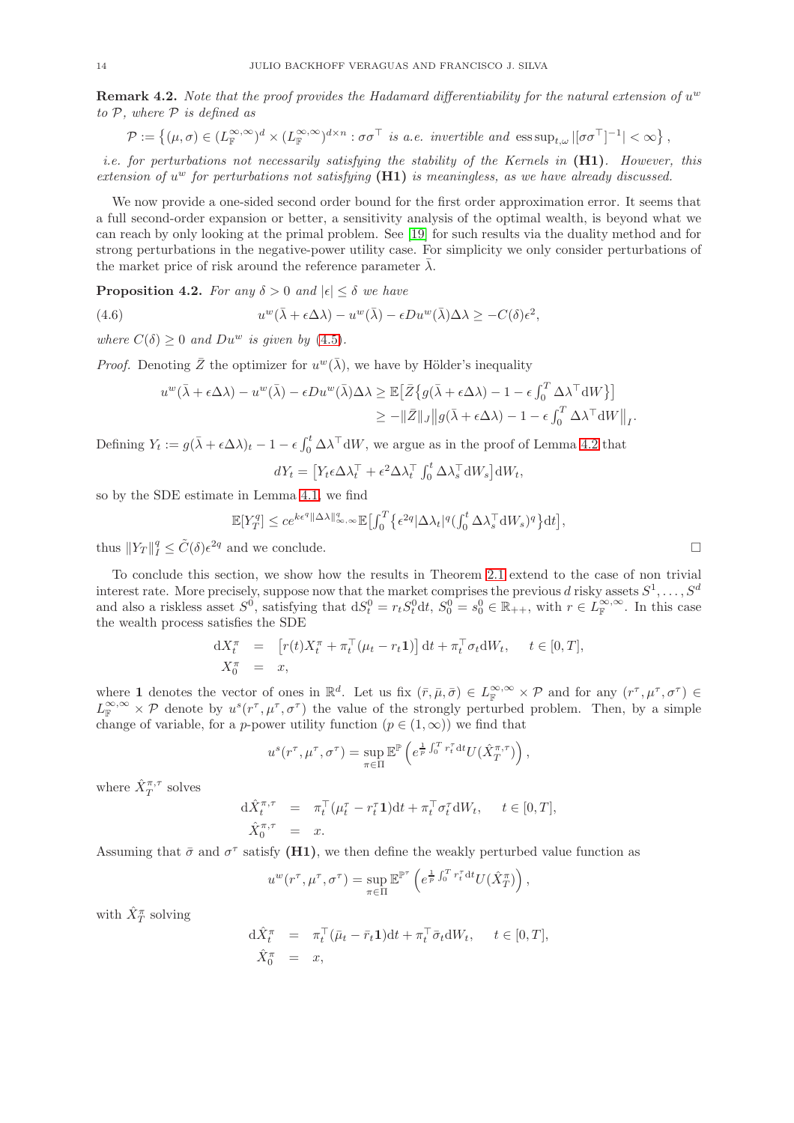**Remark 4.2.** Note that the proof provides the Hadamard differentiability for the natural extension of  $u^w$ to  $P$ , where  $P$  is defined as

$$
\mathcal{P}:=\left\{(\mu,\sigma)\in (L^{\infty,\infty}_{\mathbb{F}})^d\times (L^{\infty,\infty}_{\mathbb{F}})^{d\times n}: \sigma\sigma^{\top}\ \text{is a.e. invertible and}\ \text{ess\,sup}_{t,\omega} \left|[\sigma\sigma^{\top}]^{-1}\right|<\infty\right\},
$$

i.e. for perturbations not necessarily satisfying the stability of the Kernels in  $(H1)$ . However, this extension of  $u^w$  for perturbations not satisfying  $(H1)$  is meaningless, as we have already discussed.

We now provide a one-sided second order bound for the first order approximation error. It seems that a full second-order expansion or better, a sensitivity analysis of the optimal wealth, is beyond what we can reach by only looking at the primal problem. See [\[19\]](#page-16-21) for such results via the duality method and for strong perturbations in the negative-power utility case. For simplicity we only consider perturbations of the market price of risk around the reference parameter  $\lambda$ .

**Proposition 4.2.** For any  $\delta > 0$  and  $|\epsilon| \leq \delta$  we have

(4.6) 
$$
u^{w}(\bar{\lambda} + \epsilon \Delta \lambda) - u^{w}(\bar{\lambda}) - \epsilon Du^{w}(\bar{\lambda}) \Delta \lambda \geq -C(\delta)\epsilon^{2},
$$

where  $C(\delta) \geq 0$  and  $Du^w$  is given by [\(4.5\)](#page-12-1).

*Proof.* Denoting  $\bar{Z}$  the optimizer for  $u^w(\bar{\lambda})$ , we have by Hölder's inequality

$$
u^{w}(\bar{\lambda} + \epsilon \Delta \lambda) - u^{w}(\bar{\lambda}) - \epsilon Du^{w}(\bar{\lambda}) \Delta \lambda \ge \mathbb{E}\big[\bar{Z}\big\{g(\bar{\lambda} + \epsilon \Delta \lambda) - 1 - \epsilon \int_{0}^{T} \Delta \lambda^{\top} dW\big\}\big]
$$
  
 
$$
\ge -\|\bar{Z}\|_{J} \|g(\bar{\lambda} + \epsilon \Delta \lambda) - 1 - \epsilon \int_{0}^{T} \Delta \lambda^{\top} dW\|_{I}.
$$

Defining  $Y_t := g(\bar{\lambda} + \epsilon \Delta \lambda)_t - 1 - \epsilon \int_0^t \Delta \lambda^\top dW$ , we argue as in the proof of Lemma [4.2](#page-10-3) that

$$
dY_t = \left[ Y_t \epsilon \Delta \lambda_t^\top + \epsilon^2 \Delta \lambda_t^\top \int_0^t \Delta \lambda_s^\top dW_s \right] dW_t,
$$

so by the SDE estimate in Lemma [4.1,](#page-10-0) we find

$$
\mathbb{E}[Y_T^q] \leq ce^{k\epsilon^q \|\Delta\lambda\|_{\infty,\infty}^q} \mathbb{E}\Big[\int_0^T \big\{\epsilon^{2q}|\Delta\lambda_t|^q \big(\int_0^t \Delta\lambda_s^\top \mathrm{d}W_s\big)^q\big\}\mathrm{d}t\Big],
$$

thus  $||Y_T||_I^q \leq \tilde{C}(\delta) \epsilon^{2q}$  and we conclude.

To conclude this section, we show how the results in Theorem [2.1](#page-6-0) extend to the case of non trivial interest rate. More precisely, suppose now that the market comprises the previous d risky assets  $S^1, \ldots, S^d$ and also a riskless asset  $S^0$ , satisfying that  $dS_t^0 = r_t S_t^0 dt$ ,  $S_0^0 = s_0^0 \in \mathbb{R}_{++}$ , with  $r \in L^{\infty,\infty}_{\mathbb{F}}$ . In this case the wealth process satisfies the SDE

$$
dX_t^{\pi} = [r(t)X_t^{\pi} + \pi_t^{\top}(\mu_t - r_t \mathbf{1})] dt + \pi_t^{\top} \sigma_t dW_t, \quad t \in [0, T],
$$
  

$$
X_0^{\pi} = x,
$$

where 1 denotes the vector of ones in  $\mathbb{R}^d$ . Let us fix  $(\bar{r}, \bar{\mu}, \bar{\sigma}) \in L^{\infty,\infty}_{\mathbb{F}} \times \mathcal{P}$  and for any  $(r^{\tau}, \mu^{\tau}, \sigma^{\tau}) \in$  $L_{\mathbb{F}}^{\infty,\infty}\times\mathcal{P}$  denote by  $u^s(r^{\tau},\mu^{\tau},\sigma^{\tau})$  the value of the strongly perturbed problem. Then, by a simple change of variable, for a p-power utility function  $(p \in (1,\infty))$  we find that

$$
u^{s}(r^{\tau}, \mu^{\tau}, \sigma^{\tau}) = \sup_{\pi \in \Pi} \mathbb{E}^{\mathbb{P}} \left( e^{\frac{1}{p} \int_0^T r_t^{\tau} dt} U(\hat{X}_T^{\pi, \tau}) \right),
$$

where  $\hat{X}^{\pi,\tau}_T$  solves

$$
\begin{aligned}\n\mathrm{d}\hat{X}_t^{\pi,\tau} &= \pi_t^\top (\mu_t^\tau - r_t^\tau \mathbf{1}) \mathrm{d}t + \pi_t^\top \sigma_t^\tau \mathrm{d}W_t, \quad t \in [0,T], \\
\hat{X}_0^{\pi,\tau} &= x.\n\end{aligned}
$$

Assuming that  $\bar{\sigma}$  and  $\sigma^{\tau}$  satisfy (H1), we then define the weakly perturbed value function as

$$
u^{w}(r^{\tau}, \mu^{\tau}, \sigma^{\tau}) = \sup_{\pi \in \Pi} \mathbb{E}^{\mathbb{P}^{\tau}} \left( e^{\frac{1}{p} \int_0^T r_t^{\tau} dt} U(\hat{X}_T^{\pi}) \right),
$$

with  $\hat{X}^{\pi}_{T}$  solving

$$
\begin{aligned}\n\mathrm{d}\hat{X}_t^\pi &= \pi_t^\top (\bar{\mu}_t - \bar{r}_t \mathbf{1}) \mathrm{d}t + \pi_t^\top \bar{\sigma}_t \mathrm{d}W_t, \quad t \in [0, T], \\
\hat{X}_0^\pi &= x,\n\end{aligned}
$$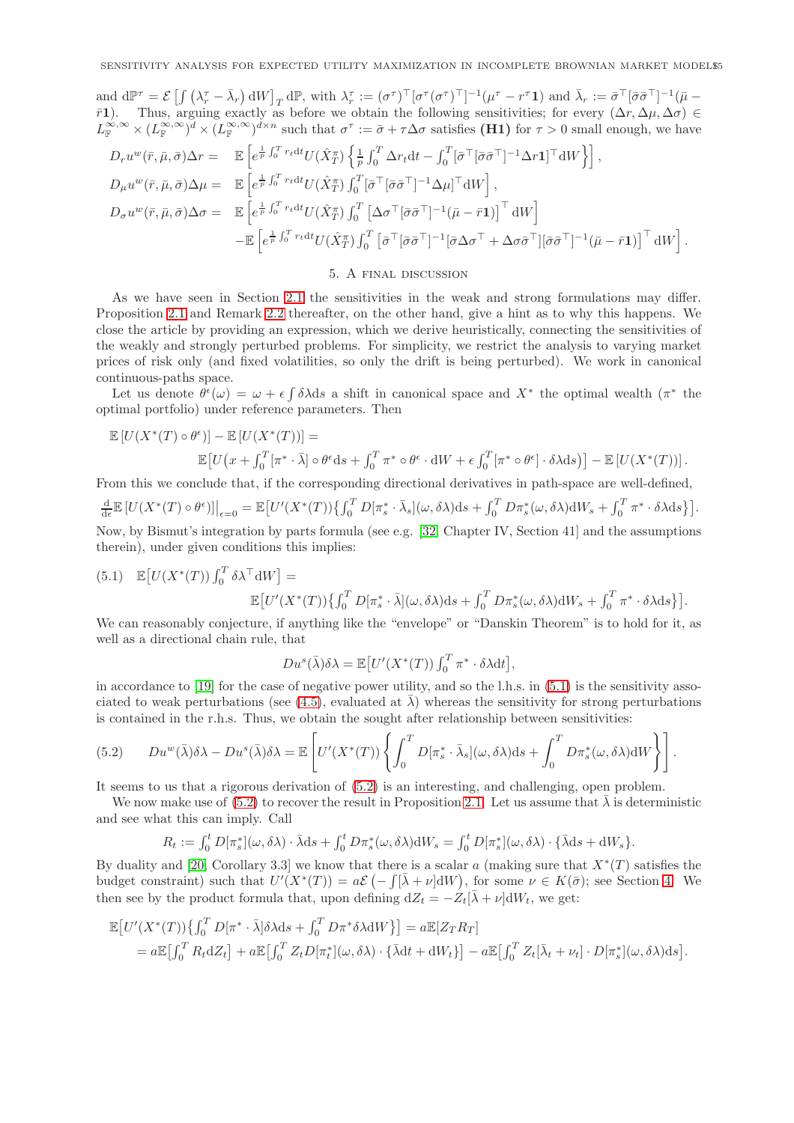and  $d\mathbb{P}^{\tau} = \mathcal{E} \left[ \int (\lambda_r^{\tau} - \bar{\lambda}_r) dW \right]_T d\mathbb{P}$ , with  $\lambda_r^{\tau} := (\sigma^{\tau})^{\top} [\sigma^{\tau} (\sigma^{\tau})^{\top}]^{-1} (\mu^{\tau} - r^{\tau} \mathbf{1})$  and  $\bar{\lambda}_r := \bar{\sigma}^{\top} [\bar{\sigma} \bar{\sigma}^{\top}]^{-1} (\bar{\mu} - r^{\tau})$  $\overline{r}$ 1). Thus, arguing exactly as before we obtain the following sensitivities; for every  $(\Delta r, \Delta \mu, \Delta \sigma) \in \mathbb{R}^{\infty}$  $L_{\mathbb{F}}^{\infty,\infty} \times (L_{\mathbb{F}}^{\infty,\infty})^{\bar{d}} \times (L_{\mathbb{F}}^{\infty,\infty})^{\bar{d} \times n}$  such that  $\sigma^{\tau} := \bar{\sigma} + \tau \Delta \sigma$  satisfies (H1) for  $\tau > 0$  small enough, we have

$$
D_r u^w(\bar{r}, \bar{\mu}, \bar{\sigma}) \Delta r = \mathbb{E} \left[ e^{\frac{1}{p} \int_0^T r_t dt} U(\hat{X}_T^{\pi}) \left\{ \frac{1}{p} \int_0^T \Delta r_t dt - \int_0^T [\bar{\sigma}^{\top} [\bar{\sigma} \bar{\sigma}^{\top}]^{-1} \Delta r \mathbf{1}]^{\top} dW \right\} \right],
$$
  
\n
$$
D_{\mu} u^w(\bar{r}, \bar{\mu}, \bar{\sigma}) \Delta \mu = \mathbb{E} \left[ e^{\frac{1}{p} \int_0^T r_t dt} U(\hat{X}_T^{\pi}) \int_0^T [\bar{\sigma}^{\top} [\bar{\sigma} \bar{\sigma}^{\top}]^{-1} \Delta \mu]^{\top} dW \right],
$$
  
\n
$$
D_{\sigma} u^w(\bar{r}, \bar{\mu}, \bar{\sigma}) \Delta \sigma = \mathbb{E} \left[ e^{\frac{1}{p} \int_0^T r_t dt} U(\hat{X}_T^{\pi}) \int_0^T [\Delta \sigma^{\top} [\bar{\sigma} \bar{\sigma}^{\top}]^{-1} (\bar{\mu} - \bar{r} \mathbf{1})]^{\top} dW \right]
$$
  
\n
$$
- \mathbb{E} \left[ e^{\frac{1}{p} \int_0^T r_t dt} U(\hat{X}_T^{\pi}) \int_0^T [\bar{\sigma}^{\top} [\bar{\sigma} \bar{\sigma}^{\top}]^{-1} [\bar{\sigma} \Delta \sigma^{\top} + \Delta \sigma \bar{\sigma}^{\top}] [\bar{\sigma} \bar{\sigma}^{\top}]^{-1} (\bar{\mu} - \bar{r} \mathbf{1})]^{\top} dW \right].
$$

#### 5. A final discussion

<span id="page-14-0"></span>As we have seen in Section [2.1](#page-6-1) the sensitivities in the weak and strong formulations may differ. Proposition [2.1](#page-5-0) and Remark [2.2](#page-5-5) thereafter, on the other hand, give a hint as to why this happens. We close the article by providing an expression, which we derive heuristically, connecting the sensitivities of the weakly and strongly perturbed problems. For simplicity, we restrict the analysis to varying market prices of risk only (and fixed volatilities, so only the drift is being perturbed). We work in canonical continuous-paths space.

Let us denote  $\theta^{\epsilon}(\omega) = \omega + \epsilon \int \delta \lambda ds$  a shift in canonical space and X<sup>\*</sup> the optimal wealth  $(\pi^*)$  the optimal portfolio) under reference parameters. Then

$$
\mathbb{E}\left[U(X^*(T)\circ\theta^{\epsilon})\right] - \mathbb{E}\left[U(X^*(T))\right] =
$$
  

$$
\mathbb{E}\left[U(x+\int_0^T[\pi^*\cdot\bar{\lambda}]\circ\theta^{\epsilon}\mathrm{d}s+\int_0^T\pi^*\circ\theta^{\epsilon}\cdot\mathrm{d}W+\epsilon\int_0^T[\pi^*\circ\theta^{\epsilon}]\cdot\delta\lambda\mathrm{d}s\right)\right] - \mathbb{E}\left[U(X^*(T))\right].
$$

From this we conclude that, if the corresponding directional derivatives in path-space are well-defined,

$$
\frac{d}{d\epsilon} \mathbb{E}\left[U(X^*(T)\circ\theta^{\epsilon})\right]\Big|_{\epsilon=0} = \mathbb{E}\left[U'(X^*(T))\left\{\int_0^T D[\pi_s^*\cdot\bar{\lambda}_s](\omega,\delta\lambda)ds + \int_0^T D\pi_s^*(\omega,\delta\lambda)dW_s + \int_0^T \pi^*\cdot\delta\lambda ds\right\}\right].
$$
  
Now, by Bismut's interaction by parts formula (99.9.5.132. Chapter IV, Section 4.11 and the assumptions

Now, by Bismut's integration by parts formula (see e.g. [\[32,](#page-16-30) Chapter IV, Section 41] and the assumptions therein), under given conditions this implies:

<span id="page-14-2"></span>(5.1) 
$$
\mathbb{E}\left[U(X^*(T))\int_0^T \delta \lambda^\top dW\right] = \mathbb{E}\left[U'(X^*(T))\left\{\int_0^T D[\pi_s^* \cdot \bar{\lambda}](\omega, \delta \lambda) ds + \int_0^T D\pi_s^*(\omega, \delta \lambda) dW_s + \int_0^T \pi^* \cdot \delta \lambda ds\right\}\right].
$$

We can reasonably conjecture, if anything like the "envelope" or "Danskin Theorem" is to hold for it, as well as a directional chain rule, that

$$
Du^{s}(\bar{\lambda})\delta\lambda = \mathbb{E}\big[U'(X^{*}(T))\int_{0}^{T}\pi^{*}\cdot\delta\lambda dt\big],
$$

in accordance to  $[19]$  for the case of negative power utility, and so the l.h.s. in  $(5.1)$  is the sensitivity asso-ciated to weak perturbations (see [\(4.5\)](#page-12-1), evaluated at  $\lambda$ ) whereas the sensitivity for strong perturbations is contained in the r.h.s. Thus, we obtain the sought after relationship between sensitivities:

<span id="page-14-1"></span>
$$
(5.2) \t Duw(\bar{\lambda})\delta\lambda - Dus(\bar{\lambda})\delta\lambda = \mathbb{E}\left[U'(X^*(T))\left\{\int_0^T D[\pi_s^* \cdot \bar{\lambda}_s](\omega, \delta\lambda)ds + \int_0^T D\pi_s^*(\omega, \delta\lambda)dW\right\}\right].
$$

It seems to us that a rigorous derivation of [\(5.2\)](#page-14-1) is an interesting, and challenging, open problem.

We now make use of  $(5.2)$  to recover the result in Proposition [2.1.](#page-5-0) Let us assume that  $\lambda$  is deterministic and see what this can imply. Call

$$
R_t := \int_0^t D[\pi_s^*](\omega, \delta \lambda) \cdot \bar{\lambda} ds + \int_0^t D\pi_s^*(\omega, \delta \lambda) dW_s = \int_0^t D[\pi_s^*](\omega, \delta \lambda) \cdot {\bar{\lambda} ds} + dW_s \}.
$$

By duality and [\[20,](#page-16-11) Corollary 3.3] we know that there is a scalar a (making sure that  $X^*(T)$  satisfies the budget constraint) such that  $U'(X^*(T)) = a\mathcal{E}(-\int [\bar{\lambda} + \nu] dW)$ , for some  $\nu \in K(\bar{\sigma})$ ; see Section [4.](#page-9-0) We then see by the product formula that, upon defining  $dZ_t = -Z_t[\bar{\lambda} + \nu]dW_t$ , we get:

$$
\mathbb{E}\big[U'(X^*(T))\big\{\int_0^T D[\pi^*\cdot\bar{\lambda}]\delta\lambda ds + \int_0^T D\pi^*\delta\lambda dW\big\}\big] = a\mathbb{E}[Z_T R_T]
$$
  
=  $a\mathbb{E}\big[\int_0^T R_t dZ_t\big] + a\mathbb{E}\big[\int_0^T Z_t D[\pi_t^*](\omega, \delta\lambda) \cdot \{\bar{\lambda}dt + dW_t\}\big] - a\mathbb{E}\big[\int_0^T Z_t[\bar{\lambda}_t + \nu_t] \cdot D[\pi_s^*](\omega, \delta\lambda)ds\big].$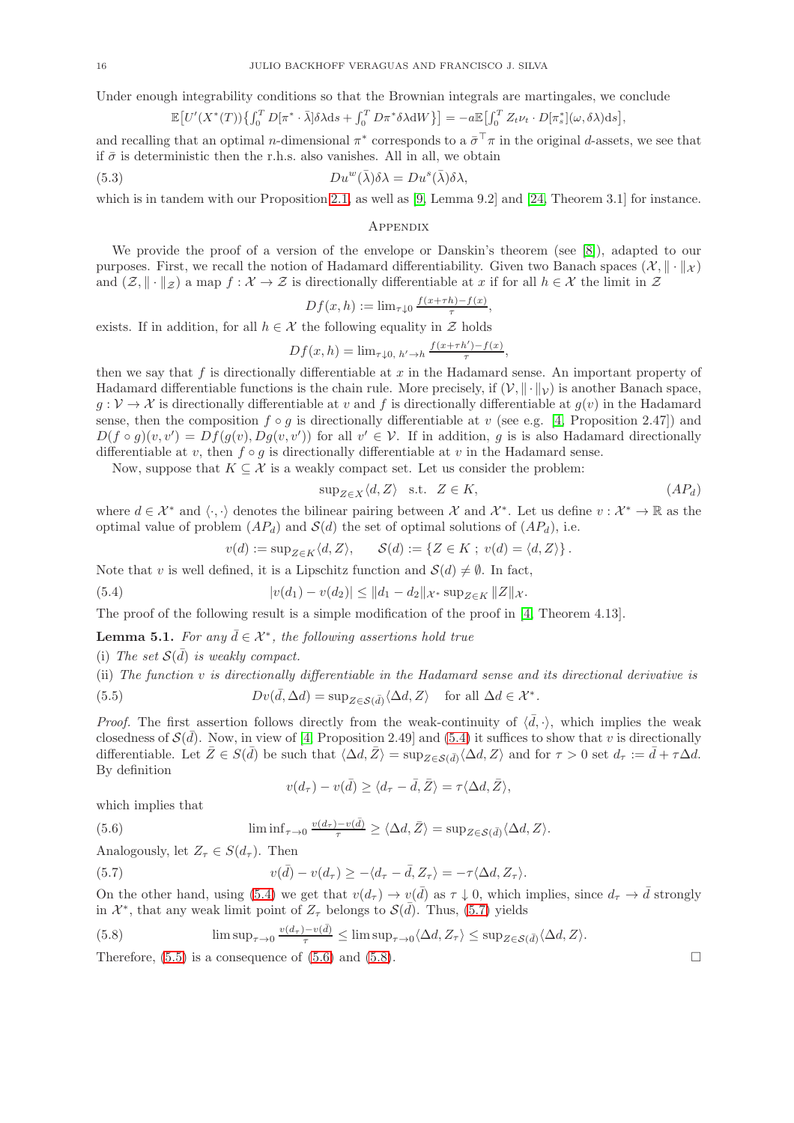Under enough integrability conditions so that the Brownian integrals are martingales, we conclude

$$
\mathbb{E}\big[U'(X^*(T))\big\{\int_0^T D[\pi^*\cdot\bar{\lambda}]\delta\lambda ds + \int_0^T D\pi^*\delta\lambda dW\big\}\big] = -a\mathbb{E}\big[\int_0^T Z_t\nu_t \cdot D[\pi_s^*](\omega,\delta\lambda)ds\big],
$$

and recalling that an optimal *n*-dimensional  $\pi^*$  corresponds to a  $\bar{\sigma}^+\pi$  in the original *d*-assets, we see that if  $\bar{\sigma}$  is deterministic then the r.h.s. also vanishes. All in all, we obtain

(5.3) 
$$
Du^{w}(\bar{\lambda})\delta\lambda = Du^{s}(\bar{\lambda})\delta\lambda,
$$

which is in tandem with our Proposition [2.1,](#page-5-0) as well as [\[9,](#page-16-31) Lemma 9.2] and [\[24,](#page-16-32) Theorem 3.1] for instance.

#### **APPENDIX**

We provide the proof of a version of the envelope or Danskin's theorem (see [\[8\]](#page-16-33)), adapted to our purposes. First, we recall the notion of Hadamard differentiability. Given two Banach spaces  $(\mathcal{X}, \|\cdot\|_{\mathcal{X}})$ and  $(\mathcal{Z}, \|\cdot\|_{\mathcal{Z}})$  a map  $f : \mathcal{X} \to \mathcal{Z}$  is directionally differentiable at x if for all  $h \in \mathcal{X}$  the limit in  $\mathcal{Z}$ 

$$
Df(x,h) := \lim_{\tau \downarrow 0} \frac{f(x+\tau h) - f(x)}{\tau},
$$

exists. If in addition, for all  $h \in \mathcal{X}$  the following equality in  $\mathcal Z$  holds

$$
Df(x,h) = \lim_{\tau \downarrow 0, h' \to h} \frac{f(x + \tau h') - f(x)}{\tau},
$$

then we say that  $f$  is directionally differentiable at  $x$  in the Hadamard sense. An important property of Hadamard differentiable functions is the chain rule. More precisely, if  $(\mathcal{V}, \|\cdot\|_{\mathcal{V}})$  is another Banach space,  $g: \mathcal{V} \to \mathcal{X}$  is directionally differentiable at v and f is directionally differentiable at  $g(v)$  in the Hadamard sense, then the composition  $f \circ g$  is directionally differentiable at v (see e.g. [\[4,](#page-16-18) Proposition 2.47]) and  $D(f \circ g)(v, v') = Df(g(v), Dg(v, v'))$  for all  $v' \in V$ . If in addition, g is is also Hadamard directionally differentiable at v, then  $f \circ g$  is directionally differentiable at v in the Hadamard sense.

Now, suppose that  $K \subseteq \mathcal{X}$  is a weakly compact set. Let us consider the problem:

$$
\sup_{Z \in X} \langle d, Z \rangle \quad \text{s.t.} \quad Z \in K,
$$
\n
$$
(APd)
$$

.

where  $d \in \mathcal{X}^*$  and  $\langle \cdot, \cdot \rangle$  denotes the bilinear pairing between X and  $\mathcal{X}^*$ . Let us define  $v : \mathcal{X}^* \to \mathbb{R}$  as the optimal value of problem  $(AP_d)$  and  $S(d)$  the set of optimal solutions of  $(AP_d)$ , i.e.

<span id="page-15-1"></span>
$$
v(d) := \sup_{Z \in K} \langle d, Z \rangle
$$
,  $S(d) := \{ Z \in K ; v(d) = \langle d, Z \rangle \}$ .

Note that v is well defined, it is a Lipschitz function and  $\mathcal{S}(d) \neq \emptyset$ . In fact,

(5.4) 
$$
|v(d_1) - v(d_2)| \le ||d_1 - d_2||_{\mathcal{X}^*} \sup_{Z \in K} ||Z||_{\mathcal{X}}.
$$

The proof of the following result is a simple modification of the proof in [\[4,](#page-16-18) Theorem 4.13].

<span id="page-15-0"></span>**Lemma 5.1.** For any  $\bar{d} \in \mathcal{X}^*$ , the following assertions hold true

(i) The set  $\mathcal{S}(\bar{d})$  is weakly compact.

(ii) The function v is directionally differentiable in the Hadamard sense and its directional derivative is

(5.5) 
$$
Dv(\bar{d}, \Delta d) = \sup_{Z \in \mathcal{S}(\bar{d})} \langle \Delta d, Z \rangle \quad \text{for all } \Delta d \in \mathcal{X}^*
$$

*Proof.* The first assertion follows directly from the weak-continuity of  $\langle \bar{d}, \cdot \rangle$ , which implies the weak closedness of  $\mathcal{S}(\bar{d})$ . Now, in view of [\[4,](#page-16-18) Proposition 2.49] and [\(5.4\)](#page-15-1) it suffices to show that v is directionally differentiable. Let  $\bar{Z} \in S(\bar{d})$  be such that  $\langle \Delta d, \bar{Z} \rangle = \sup_{Z \in S(\bar{d})} \langle \Delta d, Z \rangle$  and for  $\tau > 0$  set  $d_{\tau} := \bar{d} + \tau \Delta d$ . By definition

<span id="page-15-4"></span><span id="page-15-3"></span><span id="page-15-2"></span>
$$
v(d_{\tau}) - v(\bar{d}) \ge \langle d_{\tau} - \bar{d}, \bar{Z} \rangle = \tau \langle \Delta d, \bar{Z} \rangle,
$$

which implies that

(5.6) 
$$
\liminf_{\tau \to 0} \frac{v(d_{\tau}) - v(\bar{d})}{\tau} \ge \langle \Delta d, \bar{Z} \rangle = \sup_{Z \in \mathcal{S}(\bar{d})} \langle \Delta d, Z \rangle.
$$

Analogously, let  $Z_{\tau} \in S(d_{\tau})$ . Then

(5.7) 
$$
v(\bar{d}) - v(d_{\tau}) \ge -\langle d_{\tau} - \bar{d}, Z_{\tau} \rangle = -\tau \langle \Delta d, Z_{\tau} \rangle.
$$

On the other hand, using [\(5.4\)](#page-15-1) we get that  $v(d_\tau) \to v(\bar{d})$  as  $\tau \downarrow 0$ , which implies, since  $d_\tau \to \bar{d}$  strongly in  $\mathcal{X}^*$ , that any weak limit point of  $Z_\tau$  belongs to  $\mathcal{S}(\bar{d})$ . Thus, [\(5.7\)](#page-15-2) yields

<span id="page-15-5"></span>(5.8) 
$$
\limsup_{\tau \to 0} \frac{v(d_{\tau}) - v(\bar{d})}{\tau} \le \limsup_{\tau \to 0} \langle \Delta d, Z_{\tau} \rangle \le \sup_{Z \in \mathcal{S}(\bar{d})} \langle \Delta d, Z \rangle.
$$

Therefore,  $(5.5)$  is a consequence of  $(5.6)$  and  $(5.8)$ .